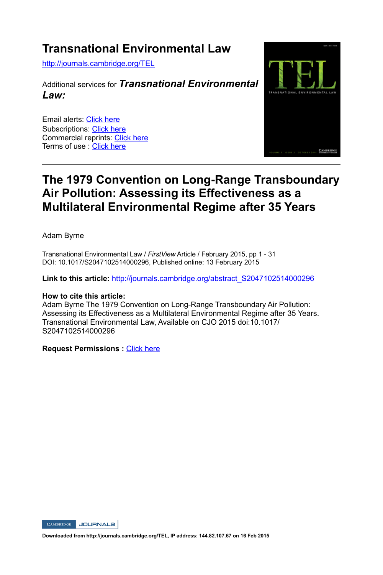# **Transnational Environmental Law**

http://journals.cambridge.org/TEL

Additional services for *Transnational Environmental Law:*

Email alerts: Click here Subscriptions: Click here Commercial reprints: Click here Terms of use : Click here



# **The 1979 Convention on Long-Range Transboundary Air Pollution: Assessing its Effectiveness as a Multilateral Environmental Regime after 35 Years**

Adam Byrne

Transnational Environmental Law / *FirstView* Article / February 2015, pp 1 - 31 DOI: 10.1017/S2047102514000296, Published online: 13 February 2015

**Link to this article:** http://journals.cambridge.org/abstract\_S2047102514000296

### **How to cite this article:**

Adam Byrne The 1979 Convention on Long-Range Transboundary Air Pollution: Assessing its Effectiveness as a Multilateral Environmental Regime after 35 Years. Transnational Environmental Law, Available on CJO 2015 doi:10.1017/ S2047102514000296

**Request Permissions : Click here** 



**Downloaded from http://journals.cambridge.org/TEL, IP address: 144.82.107.67 on 16 Feb 2015**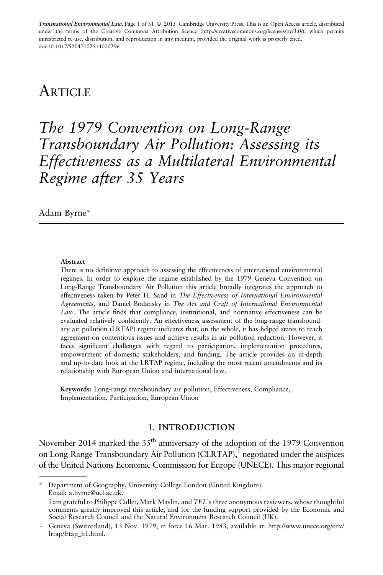Transnational Environmental Law, Page 1 of 31 © 2015 Cambridge University Press. This is an Open Access article, distributed under the terms of the Creative Commons Attribution licence (http://creativecommons.org/licenses/by/3.0/), which permits unrestricted re-use, distribution, and reproduction in any medium, provided the original work is properly cited. doi:10.1017/S2047102514000296

# **ARTICLE**

# The 1979 Convention on Long-Range Transboundary Air Pollution: Assessing its Effectiveness as a Multilateral Environmental Regime after 35 Years

Adam Byrne\*

#### Abstract

There is no definitive approach to assessing the effectiveness of international environmental regimes. In order to explore the regime established by the 1979 Geneva Convention on Long-Range Transboundary Air Pollution this article broadly integrates the approach to effectiveness taken by Peter H. Sand in The Effectiveness of International Environmental Agreements, and Daniel Bodansky in The Art and Craft of International Environmental Law. The article finds that compliance, institutional, and normative effectiveness can be evaluated relatively confidently. An effectiveness assessment of the long-range transboundary air pollution (LRTAP) regime indicates that, on the whole, it has helped states to reach agreement on contentious issues and achieve results in air pollution reduction. However, it faces significant challenges with regard to participation, implementation procedures, empowerment of domestic stakeholders, and funding. The article provides an in-depth and up-to-date look at the LRTAP regime, including the most recent amendments and its relationship with European Union and international law.

Keywords: Long-range transboundary air pollution, Effectiveness, Compliance, Implementation, Participation, European Union

# 1. introduction

November 2014 marked the 35<sup>th</sup> anniversary of the adoption of the 1979 Convention on Long-Range Transboundary Air Pollution (CLRTAP),<sup>1</sup> negotiated under the auspices of the United Nations Economic Commission for Europe (UNECE). This major regional

Department of Geography, University College London (United Kingdom). Email: a.byrne@ucl.ac.uk. I am grateful to Philippe Cullet, Mark Maslin, and TEL's three anonymous reviewers, whose thoughtful comments greatly improved this article, and for the funding support provided by the Economic and Social Research Council and the Natural Environment Research Council (UK).

<sup>1</sup> Geneva (Switzerland), 13 Nov. 1979, in force 16 Mar. 1983, available at: http://www.unece.org/env/ lrtap/lrtap\_h1.html.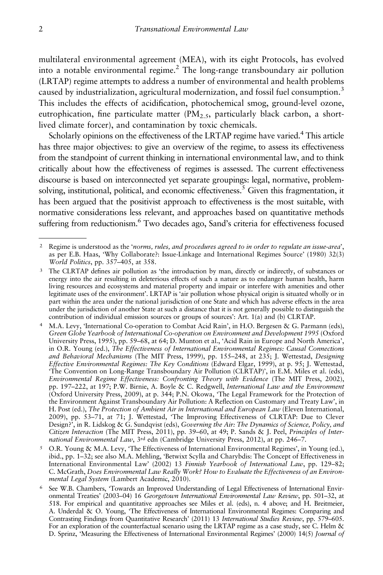multilateral environmental agreement (MEA), with its eight Protocols, has evolved into a notable environmental regime.<sup>2</sup> The long-range transboundary air pollution (LRTAP) regime attempts to address a number of environmental and health problems caused by industrialization, agricultural modernization, and fossil fuel consumption.<sup>3</sup> This includes the effects of acidification, photochemical smog, ground-level ozone, eutrophication, fine particulate matter ( $PM<sub>2</sub>$ <sub>5</sub>, particularly black carbon, a shortlived climate forcer), and contamination by toxic chemicals.

Scholarly opinions on the effectiveness of the LRTAP regime have varied.<sup>4</sup> This article has three major objectives: to give an overview of the regime, to assess its effectiveness from the standpoint of current thinking in international environmental law, and to think critically about how the effectiveness of regimes is assessed. The current effectiveness discourse is based on interconnected yet separate groupings: legal, normative, problemsolving, institutional, political, and economic effectiveness.<sup>5</sup> Given this fragmentation, it has been argued that the positivist approach to effectiveness is the most suitable, with normative considerations less relevant, and approaches based on quantitative methods suffering from reductionism.<sup>6</sup> Two decades ago, Sand's criteria for effectiveness focused

<sup>&</sup>lt;sup>2</sup> Regime is understood as the 'norms, rules, and procedures agreed to in order to regulate an issue-area', as per E.B. Haas, 'Why Collaborate?: Issue-Linkage and International Regimes Source' (1980) 32(3) World Politics, pp. 357–405, at 358.

<sup>&</sup>lt;sup>3</sup> The CLRTAP defines air pollution as 'the introduction by man, directly or indirectly, of substances or energy into the air resulting in deleterious effects of such a nature as to endanger human health, harm living resources and ecosystems and material property and impair or interfere with amenities and other legitimate uses of the environment'. LRTAP is 'air pollution whose physical origin is situated wholly or in part within the area under the national jurisdiction of one State and which has adverse effects in the area under the jurisdiction of another State at such a distance that it is not generally possible to distinguish the contribution of individual emission sources or groups of sources': Art. 1(a) and (b) CLRTAP.

M.A. Levy, 'International Co-operation to Combat Acid Rain', in H.O. Bergesen & G. Parmann (eds), Green Globe Yearbook of International Co-operation on Environment and Development 1995 (Oxford University Press, 1995), pp. 59–68, at 64; D. Munton et al., 'Acid Rain in Europe and North America', in O.R. Young (ed.), The Effectiveness of International Environmental Regimes: Causal Connections and Behavioral Mechanisms (The MIT Press, 1999), pp. 155–248, at 235; J. Wettestad, Designing Effective Environmental Regimes: The Key Conditions (Edward Elgar, 1999), at p. 95; J. Wettestad, 'The Convention on Long-Range Transboundary Air Pollution (CLRTAP)', in E.M. Miles et al. (eds), Environmental Regime Effectiveness: Confronting Theory with Evidence (The MIT Press, 2002), pp. 197–222, at 197; P.W. Birnie, A. Boyle & C. Redgwell, International Law and the Environment (Oxford University Press, 2009), at p. 344; P.N. Okowa, 'The Legal Framework for the Protection of the Environment Against Transboundary Air Pollution: A Reflection on Customary and Treaty Law', in H. Post (ed.), The Protection of Ambient Air in International and European Law (Eleven International, 2009), pp. 53–71, at 71; J. Wettestad, 'The Improving Effectiveness of CLRTAP: Due to Clever Design?', in R. Lidskog & G. Sundqvist (eds), Governing the Air: The Dynamics of Science, Policy, and Citizen Interaction (The MIT Press, 2011), pp. 39–60, at 49; P. Sands & J. Peel, Principles of International Environmental Law, 3<sup>rd</sup> edn (Cambridge University Press, 2012), at pp. 246-7.

<sup>5</sup> O.R. Young & M.A. Levy, 'The Effectiveness of International Environmental Regimes', in Young (ed.), ibid., pp. 1–32; see also M.A. Mehling, 'Betwixt Scylla and Charybdis: The Concept of Effectiveness in International Environmental Law' (2002) 13 Finnish Yearbook of International Law, pp. 129–82; C. McGrath, Does Environmental Law Really Work? How to Evaluate the Effectiveness of an Environmental Legal System (Lambert Academic, 2010).

<sup>6</sup> See W.B. Chambers, 'Towards an Improved Understanding of Legal Effectiveness of International Environmental Treaties' (2003–04) 16 Georgetown International Environmental Law Review, pp. 501–32, at 518. For empirical and quantitative approaches see Miles et al. (eds), n. 4 above; and H. Breitmeier, A. Underdal & O. Young, 'The Effectiveness of International Environmental Regimes: Comparing and Contrasting Findings from Quantitative Research' (2011) 13 International Studies Review, pp. 579–605. For an exploration of the counterfactual scenario using the LRTAP regime as a case study, see C. Helm & D. Sprinz, 'Measuring the Effectiveness of International Environmental Regimes' (2000) 14(5) Journal of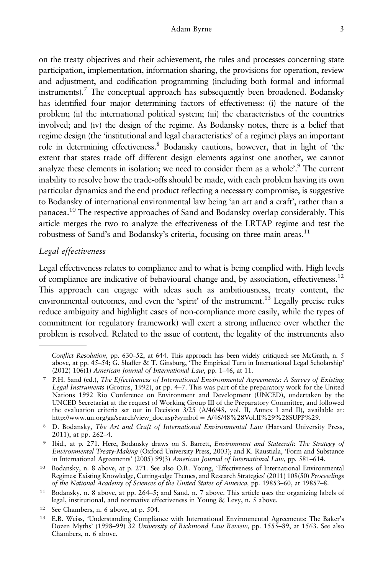on the treaty objectives and their achievement, the rules and processes concerning state participation, implementation, information sharing, the provisions for operation, review and adjustment, and codification programming (including both formal and informal instruments).<sup>7</sup> The conceptual approach has subsequently been broadened. Bodansky has identified four major determining factors of effectiveness: (i) the nature of the problem; (ii) the international political system; (iii) the characteristics of the countries involved; and (iv) the design of the regime. As Bodansky notes, there is a belief that regime design (the 'institutional and legal characteristics' of a regime) plays an important role in determining effectiveness.<sup>8</sup> Bodansky cautions, however, that in light of 'the extent that states trade off different design elements against one another, we cannot analyze these elements in isolation; we need to consider them as a whole'.<sup>9</sup> The current inability to resolve how the trade-offs should be made, with each problem having its own particular dynamics and the end product reflecting a necessary compromise, is suggestive to Bodansky of international environmental law being 'an art and a craft', rather than a panacea.10 The respective approaches of Sand and Bodansky overlap considerably. This article merges the two to analyze the effectiveness of the LRTAP regime and test the robustness of Sand's and Bodansky's criteria, focusing on three main areas.<sup>11</sup>

# Legal effectiveness

Legal effectiveness relates to compliance and to what is being complied with. High levels of compliance are indicative of behavioural change and, by association, effectiveness.<sup>12</sup> This approach can engage with ideas such as ambitiousness, treaty content, the environmental outcomes, and even the 'spirit' of the instrument.<sup>13</sup> Legally precise rules reduce ambiguity and highlight cases of non-compliance more easily, while the types of commitment (or regulatory framework) will exert a strong influence over whether the problem is resolved. Related to the issue of content, the legality of the instruments also

Conflict Resolution, pp. 630–52, at 644. This approach has been widely critiqued: see McGrath, n. 5 above, at pp. 45–54; G. Shaffer & T. Ginsburg, 'The Empirical Turn in International Legal Scholarship' (2012) 106(1) American Journal of International Law, pp. 1–46, at 11.

<sup>7</sup> P.H. Sand (ed.), The Effectiveness of International Environmental Agreements: A Survey of Existing Legal Instruments (Grotius, 1992), at pp. 4–7. This was part of the preparatory work for the United Nations 1992 Rio Conference on Environment and Development (UNCED), undertaken by the UNCED Secretariat at the request of Working Group III of the Preparatory Committee, and followed the evaluation criteria set out in Decision  $3/25$  ( $A/46/48$ , vol. II, Annex I and II), available at: http://www.un.org/ga/search/view\_doc.asp?symbol = A/46/48%28Vol.II%29%28SUPP%29.

<sup>8</sup> D. Bodansky, The Art and Craft of International Environmental Law (Harvard University Press, 2011), at pp. 262–4.

<sup>9</sup> Ibid., at p. 271. Here, Bodansky draws on S. Barrett, Environment and Statecraft: The Strategy of Environmental Treaty-Making (Oxford University Press, 2003); and K. Raustiala, 'Form and Substance in International Agreements' (2005) 99(3) American Journal of International Law, pp. 581–614.

<sup>10</sup> Bodansky, n. 8 above, at p. 271. See also O.R. Young, 'Effectiveness of International Environmental Regimes: Existing Knowledge, Cutting-edge Themes, and Research Strategies' (2011) 108(50) Proceedings of the National Academy of Sciences of the United States of America, pp. 19853–60, at 19857–8.

<sup>11</sup> Bodansky, n. 8 above, at pp. 264–5; and Sand, n. 7 above. This article uses the organizing labels of legal, institutional, and normative effectiveness in Young & Levy, n. 5 above.

<sup>12</sup> See Chambers, n. 6 above, at p. 504.

<sup>13</sup> E.B. Weiss, 'Understanding Compliance with International Environmental Agreements: The Baker's Dozen Myths' (1998–99) 32 University of Richmond Law Review, pp. 1555–89, at 1563. See also Chambers, n. 6 above.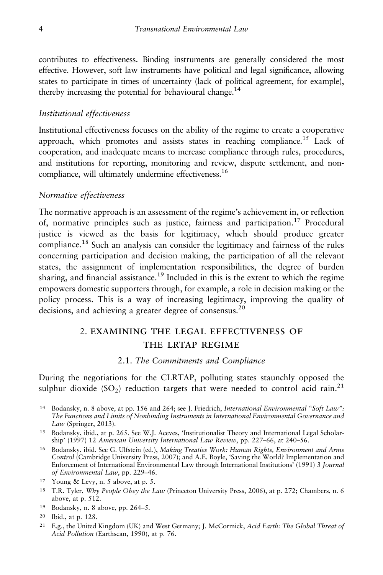contributes to effectiveness. Binding instruments are generally considered the most effective. However, soft law instruments have political and legal significance, allowing states to participate in times of uncertainty (lack of political agreement, for example), thereby increasing the potential for behavioural change.<sup>14</sup>

# Institutional effectiveness

Institutional effectiveness focuses on the ability of the regime to create a cooperative approach, which promotes and assists states in reaching compliance.<sup>15</sup> Lack of cooperation, and inadequate means to increase compliance through rules, procedures, and institutions for reporting, monitoring and review, dispute settlement, and noncompliance, will ultimately undermine effectiveness.16

# Normative effectiveness

The normative approach is an assessment of the regime's achievement in, or reflection of, normative principles such as justice, fairness and participation.17 Procedural justice is viewed as the basis for legitimacy, which should produce greater compliance.<sup>18</sup> Such an analysis can consider the legitimacy and fairness of the rules concerning participation and decision making, the participation of all the relevant states, the assignment of implementation responsibilities, the degree of burden sharing, and financial assistance.<sup>19</sup> Included in this is the extent to which the regime empowers domestic supporters through, for example, a role in decision making or the policy process. This is a way of increasing legitimacy, improving the quality of decisions, and achieving a greater degree of consensus.<sup>20</sup>

# 2. examining the legal effectiveness of THE LRTAP REGIME

# 2.1. The Commitments and Compliance

During the negotiations for the CLRTAP, polluting states staunchly opposed the sulphur dioxide (SO<sub>2</sub>) reduction targets that were needed to control acid rain.<sup>21</sup>

<sup>14</sup> Bodansky, n. 8 above, at pp. 156 and 264; see J. Friedrich, International Environmental "Soft Law": The Functions and Limits of Nonbinding Instruments in International Environmental Governance and Law (Springer, 2013).

<sup>15</sup> Bodansky, ibid., at p. 265. See W.J. Aceves, 'Institutionalist Theory and International Legal Scholarship' (1997) 12 American University International Law Review, pp. 227–66, at 240–56.

<sup>&</sup>lt;sup>16</sup> Bodansky, ibid. See G. Ulfstein (ed.), Making Treaties Work: Human Rights, Environment and Arms Control (Cambridge University Press, 2007); and A.E. Boyle, 'Saving the World? Implementation and Enforcement of International Environmental Law through International Institutions' (1991) 3 Journal of Environmental Law, pp. 229–46.

<sup>&</sup>lt;sup>17</sup> Young & Levy, n. 5 above, at p. 5.

<sup>&</sup>lt;sup>18</sup> T.R. Tyler, *Why People Obey the Law* (Princeton University Press, 2006), at p. 272; Chambers, n. 6 above, at p. 512.

<sup>19</sup> Bodansky, n. 8 above, pp. 264–5.

<sup>20</sup> Ibid., at p. 128.

<sup>&</sup>lt;sup>21</sup> E.g., the United Kingdom (UK) and West Germany; J. McCormick, Acid Earth: The Global Threat of Acid Pollution (Earthscan, 1990), at p. 76.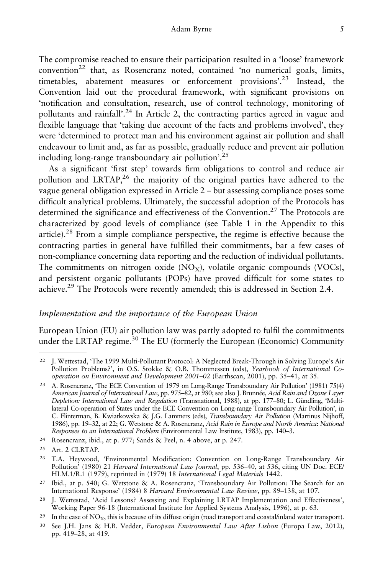The compromise reached to ensure their participation resulted in a 'loose' framework  $convention<sup>22</sup>$  that, as Rosencranz noted, contained 'no numerical goals, limits, timetables, abatement measures or enforcement provisions'.<sup>23</sup> Instead, the Convention laid out the procedural framework, with significant provisions on 'notification and consultation, research, use of control technology, monitoring of pollutants and rainfall'.<sup>24</sup> In Article 2, the contracting parties agreed in vague and flexible language that 'taking due account of the facts and problems involved', they were 'determined to protect man and his environment against air pollution and shall endeavour to limit and, as far as possible, gradually reduce and prevent air pollution including long-range transboundary air pollution'. 25

As a significant 'first step' towards firm obligations to control and reduce air pollution and LRTAP,<sup>26</sup> the majority of the original parties have adhered to the vague general obligation expressed in Article 2 – but assessing compliance poses some difficult analytical problems. Ultimately, the successful adoption of the Protocols has determined the significance and effectiveness of the Convention.<sup>27</sup> The Protocols are characterized by good levels of compliance (see Table 1 in the Appendix to this article).<sup>28</sup> From a simple compliance perspective, the regime is effective because the contracting parties in general have fulfilled their commitments, bar a few cases of non-compliance concerning data reporting and the reduction of individual pollutants. The commitments on nitrogen oxide  $(NO<sub>X</sub>)$ , volatile organic compounds (VOCs), and persistent organic pollutants (POPs) have proved difficult for some states to achieve.<sup>29</sup> The Protocols were recently amended; this is addressed in Section 2.4.

## Implementation and the importance of the European Union

European Union (EU) air pollution law was partly adopted to fulfil the commitments under the LRTAP regime.<sup>30</sup> The EU (formerly the European (Economic) Community

<sup>22</sup> J. Wettestad, 'The 1999 Multi-Pollutant Protocol: A Neglected Break-Through in Solving Europe's Air Pollution Problems?', in O.S. Stokke & O.B. Thommessen (eds), Yearbook of International Cooperation on Environment and Development 2001–02 (Earthscan, 2001), pp. 35–41, at 35.

<sup>23</sup> A. Rosencranz, 'The ECE Convention of 1979 on Long-Range Transboundary Air Pollution' (1981) 75(4) American Journal of International Law, pp. 975–82, at 980; see also J. Brunnée, Acid Rain and Ozone Layer Depletion: International Law and Regulation (Transnational, 1988), at pp. 177–80; L. Gündling, 'Multilateral Co-operation of States under the ECE Convention on Long-range Transboundary Air Pollution', in C. Flinterman, B. Kwiatkowska & J.G. Lammers (eds), Transboundary Air Pollution (Martinus Nijhoff, 1986), pp. 19–32, at 22; G. Wetstone & A. Rosencranz, Acid Rain in Europe and North America: National Responses to an International Problem (Environmental Law Institute, 1983), pp. 140–3.

<sup>24</sup> Rosencranz, ibid., at p. 977; Sands & Peel, n. 4 above, at p. 247.

<sup>25</sup> Art. 2 CLRTAP.

<sup>26</sup> T.A. Heywood, 'Environmental Modification: Convention on Long-Range Transboundary Air Pollution' (1980) 21 Harvard International Law Journal, pp. 536-40, at 536, citing UN Doc. ECE/ HLM.1/R.1 (1979), reprinted in (1979) 18 International Legal Materials 1442.

<sup>27</sup> Ibid., at p. 540; G. Wetstone & A. Rosencranz, 'Transboundary Air Pollution: The Search for an International Response' (1984) 8 Harvard Environmental Law Review, pp. 89–138, at 107.

<sup>28</sup> J. Wettestad, 'Acid Lessons? Assessing and Explaining LRTAP Implementation and Effectiveness', Working Paper 96-18 (International Institute for Applied Systems Analysis, 1996), at p. 63.

<sup>&</sup>lt;sup>29</sup> In the case of NO<sub>x</sub>, this is because of its diffuse origin (road transport and coastal/inland water transport).

<sup>30</sup> See J.H. Jans & H.B. Vedder, European Environmental Law After Lisbon (Europa Law, 2012), pp. 419–28, at 419.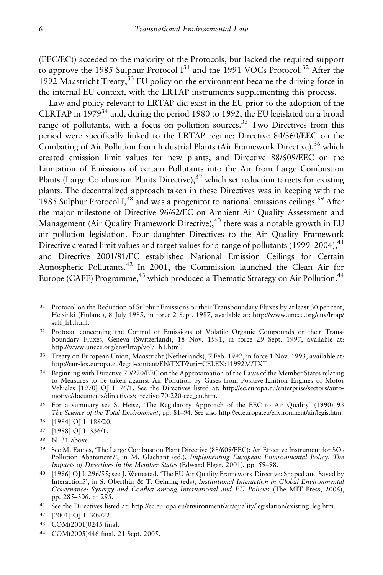(EEC/EC)) acceded to the majority of the Protocols, but lacked the required support to approve the 1985 Sulphur Protocol  $I^{31}$  and the 1991 VOCs Protocol.<sup>32</sup> After the 1992 Maastricht Treaty,  $33$  EU policy on the environment became the driving force in the internal EU context, with the LRTAP instruments supplementing this process.

Law and policy relevant to LRTAP did exist in the EU prior to the adoption of the CLRTAP in 197934 and, during the period 1980 to 1992, the EU legislated on a broad range of pollutants, with a focus on pollution sources.<sup>35</sup> Two Directives from this period were specifically linked to the LRTAP regime: Directive 84/360/EEC on the Combating of Air Pollution from Industrial Plants (Air Framework Directive),  $36$  which created emission limit values for new plants, and Directive 88/609/EEC on the Limitation of Emissions of certain Pollutants into the Air from Large Combustion Plants (Large Combustion Plants Directive),<sup>37</sup> which set reduction targets for existing plants. The decentralized approach taken in these Directives was in keeping with the 1985 Sulphur Protocol I,  $38$  and was a progenitor to national emissions ceilings.<sup>39</sup> After the major milestone of Directive 96/62/EC on Ambient Air Quality Assessment and Management (Air Quality Framework Directive), $40$  there was a notable growth in EU air pollution legislation. Four daughter Directives to the Air Quality Framework Directive created limit values and target values for a range of pollutants  $(1999-2004)$ ,<sup>41</sup> and Directive 2001/81/EC established National Emission Ceilings for Certain Atmospheric Pollutants.42 In 2001, the Commission launched the Clean Air for Europe (CAFE) Programme,<sup>43</sup> which produced a Thematic Strategy on Air Pollution.<sup>44</sup>

- 37 [1988] OJ L 336/1.
- 38 N. 31 above.

- <sup>43</sup> COM(2001)0245 final.
- <sup>44</sup> COM(2005)446 final, 21 Sept. 2005.

Protocol on the Reduction of Sulphur Emissions or their Transboundary Fluxes by at least 30 per cent, Helsinki (Finland), 8 July 1985, in force 2 Sept. 1987, available at: http://www.unece.org/env/lrtap/ sulf\_h1.html.

<sup>&</sup>lt;sup>32</sup> Protocol concerning the Control of Emissions of Volatile Organic Compounds or their Transboundary Fluxes, Geneva (Switzerland), 18 Nov. 1991, in force 29 Sept. 1997, available at: http://www.unece.org/env/lrtap/vola\_h1.html.

<sup>33</sup> Treaty on European Union, Maastricht (Netherlands), 7 Feb. 1992, in force 1 Nov. 1993, available at: http://eur-lex.europa.eu/legal-content/EN/TXT/?uri=CELEX:11992M/TXT.

<sup>&</sup>lt;sup>34</sup> Beginning with Directive 70/220/EEC on the Approximation of the Laws of the Member States relating to Measures to be taken against Air Pollution by Gases from Positive-Ignition Engines of Motor Vehicles [1970] OJ L 76/1. See the Directives listed at: http://ec.europa.eu/enterprise/sectors/automotive/documents/directives/directive-70-220-eec\_en.htm.

<sup>&</sup>lt;sup>35</sup> For a summary see S. Heise, 'The Regulatory Approach of the EEC to Air Quality' (1990) 93 The Science of the Total Environment, pp. 81–94. See also http://ec.europa.eu/environment/air/legis.htm.

<sup>36</sup> [1984] OJ L 188/20.

<sup>&</sup>lt;sup>39</sup> See M. Eames, 'The Large Combustion Plant Directive (88/609/EEC): An Effective Instrument for  $SO_2$ Pollution Abatement?', in M. Glachant (ed.), Implementing European Environmental Policy: The Impacts of Directives in the Member States (Edward Elgar, 2001), pp. 59–98.

<sup>40</sup> [1996] OJ L 296/55; see J. Wettestad, 'The EU Air Quality Framework Directive: Shaped and Saved by Interaction?', in S. Oberthür & T. Gehring (eds), Institutional Interaction in Global Environmental Governance: Synergy and Conflict among International and EU Policies (The MIT Press, 2006), pp. 285–306, at 285.

<sup>41</sup> See the Directives listed at: http://ec.europa.eu/environment/air/quality/legislation/existing\_leg.htm.

<sup>42</sup> [2001] OJ L 309/22.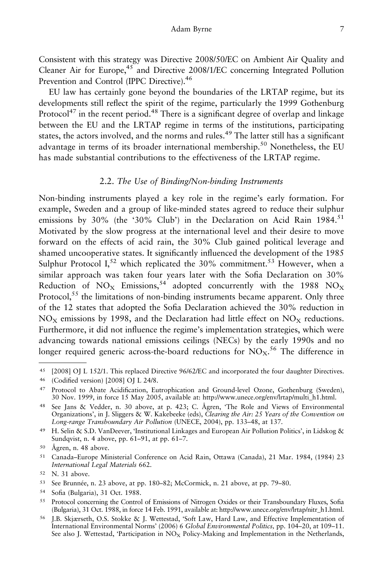Consistent with this strategy was Directive 2008/50/EC on Ambient Air Quality and Cleaner Air for Europe,<sup>45</sup> and Directive 2008/1/EC concerning Integrated Pollution Prevention and Control (IPPC Directive).<sup>46</sup>

EU law has certainly gone beyond the boundaries of the LRTAP regime, but its developments still reflect the spirit of the regime, particularly the 1999 Gothenburg Protocol<sup>47</sup> in the recent period.<sup>48</sup> There is a significant degree of overlap and linkage between the EU and the LRTAP regime in terms of the institutions, participating states, the actors involved, and the norms and rules.<sup>49</sup> The latter still has a significant advantage in terms of its broader international membership.<sup>50</sup> Nonetheless, the EU has made substantial contributions to the effectiveness of the LRTAP regime.

# 2.2. The Use of Binding/Non-binding Instruments

Non-binding instruments played a key role in the regime's early formation. For example, Sweden and a group of like-minded states agreed to reduce their sulphur emissions by  $30\%$  (the '30% Club') in the Declaration on Acid Rain 1984.<sup>51</sup> Motivated by the slow progress at the international level and their desire to move forward on the effects of acid rain, the 30% Club gained political leverage and shamed uncooperative states. It significantly influenced the development of the 1985 Sulphur Protocol  $I<sub>52</sub>$  which replicated the 30% commitment.<sup>53</sup> However, when a similar approach was taken four years later with the Sofia Declaration on 30% Reduction of  $NO_X$  Emissions,<sup>54</sup> adopted concurrently with the 1988  $NO_X$ Protocol,<sup>55</sup> the limitations of non-binding instruments became apparent. Only three of the 12 states that adopted the Sofia Declaration achieved the 30% reduction in  $NO<sub>x</sub>$  emissions by 1998, and the Declaration had little effect on  $NO<sub>x</sub>$  reductions. Furthermore, it did not influence the regime's implementation strategies, which were advancing towards national emissions ceilings (NECs) by the early 1990s and no longer required generic across-the-board reductions for  $\mathrm{NO_{X}}^{.56}$  The difference in

<sup>45</sup> [2008] OJ L 152/1. This replaced Directive 96/62/EC and incorporated the four daughter Directives.

<sup>46</sup> (Codified version) [2008] OJ L 24/8.

<sup>47</sup> Protocol to Abate Acidification, Eutrophication and Ground-level Ozone, Gothenburg (Sweden), 30 Nov. 1999, in force 15 May 2005, available at: http://www.unece.org/env/lrtap/multi\_h1.html.

<sup>48</sup> See Jans & Vedder, n. 30 above, at p. 423; C. Ågren, 'The Role and Views of Environmental Organizations', in J. Sliggers & W. Kakebeeke (eds), Clearing the Air: 25 Years of the Convention on Long-range Transboundary Air Pollution (UNECE, 2004), pp. 133–48, at 137.

<sup>49</sup> H. Selin & S.D. VanDeever, 'Institutional Linkages and European Air Pollution Politics', in Lidskog & Sundqvist, n. 4 above, pp. 61–91, at pp. 61–7.

<sup>50</sup> Ågren, n. 48 above.

<sup>51</sup> Canada–Europe Ministerial Conference on Acid Rain, Ottawa (Canada), 21 Mar. 1984, (1984) 23 International Legal Materials 662.

<sup>52</sup> N. 31 above.

<sup>53</sup> See Brunnée, n. 23 above, at pp. 180–82; McCormick, n. 21 above, at pp. 79–80.

<sup>54</sup> Sofia (Bulgaria), 31 Oct. 1988.

<sup>55</sup> Protocol concerning the Control of Emissions of Nitrogen Oxides or their Transboundary Fluxes, Sofia (Bulgaria), 31 Oct. 1988, in force 14 Feb. 1991, available at: http://www.unece.org/env/lrtap/nitr\_h1.html.

<sup>56</sup> J.B. Skjærseth, O.S. Stokke & J. Wettestad, 'Soft Law, Hard Law, and Effective Implementation of International Environmental Norms' (2006) 6 Global Environmental Politics, pp. 104–20, at 109–11. See also J. Wettestad, 'Participation in  $NO<sub>x</sub>$  Policy-Making and Implementation in the Netherlands,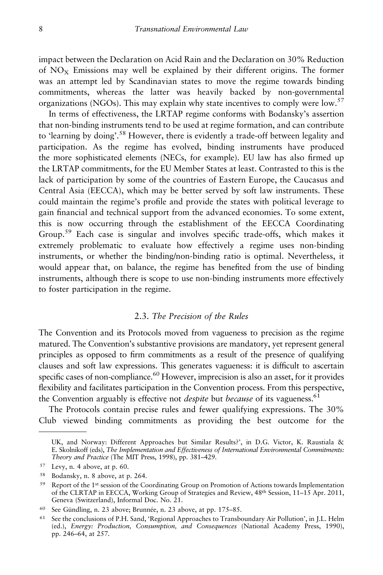impact between the Declaration on Acid Rain and the Declaration on 30% Reduction of  $NO<sub>x</sub>$  Emissions may well be explained by their different origins. The former was an attempt led by Scandinavian states to move the regime towards binding commitments, whereas the latter was heavily backed by non-governmental organizations (NGOs). This may explain why state incentives to comply were low.<sup>57</sup>

In terms of effectiveness, the LRTAP regime conforms with Bodansky's assertion that non-binding instruments tend to be used at regime formation, and can contribute to 'learning by doing'.<sup>58</sup> However, there is evidently a trade-off between legality and participation. As the regime has evolved, binding instruments have produced the more sophisticated elements (NECs, for example). EU law has also firmed up the LRTAP commitments, for the EU Member States at least. Contrasted to this is the lack of participation by some of the countries of Eastern Europe, the Caucasus and Central Asia (EECCA), which may be better served by soft law instruments. These could maintain the regime's profile and provide the states with political leverage to gain financial and technical support from the advanced economies. To some extent, this is now occurring through the establishment of the EECCA Coordinating Group.59 Each case is singular and involves specific trade-offs, which makes it extremely problematic to evaluate how effectively a regime uses non-binding instruments, or whether the binding/non-binding ratio is optimal. Nevertheless, it would appear that, on balance, the regime has benefited from the use of binding instruments, although there is scope to use non-binding instruments more effectively to foster participation in the regime.

### 2.3. The Precision of the Rules

The Convention and its Protocols moved from vagueness to precision as the regime matured. The Convention's substantive provisions are mandatory, yet represent general principles as opposed to firm commitments as a result of the presence of qualifying clauses and soft law expressions. This generates vagueness: it is difficult to ascertain specific cases of non-compliance.<sup>60</sup> However, imprecision is also an asset, for it provides flexibility and facilitates participation in the Convention process. From this perspective, the Convention arguably is effective not *despite* but *because* of its vagueness.<sup>61</sup>

The Protocols contain precise rules and fewer qualifying expressions. The 30% Club viewed binding commitments as providing the best outcome for the

UK, and Norway: Different Approaches but Similar Results?', in D.G. Victor, K. Raustiala & E. Skolnikoff (eds), The Implementation and Effectiveness of International Environmental Commitments: Theory and Practice (The MIT Press, 1998), pp. 381–429.

<sup>57</sup> Levy, n. 4 above, at p. 60.

<sup>58</sup> Bodansky, n. 8 above, at p. 264.

<sup>59</sup> Report of the 1st session of the Coordinating Group on Promotion of Actions towards Implementation of the CLRTAP in EECCA, Working Group of Strategies and Review, 48th Session, 11–15 Apr. 2011, Geneva (Switzerland), Informal Doc. No. 21.

<sup>60</sup> See Gündling, n. 23 above; Brunnée, n. 23 above, at pp. 175–85.

<sup>61</sup> See the conclusions of P.H. Sand, 'Regional Approaches to Transboundary Air Pollution', in J.L. Helm (ed.), Energy: Production, Consumption, and Consequences (National Academy Press, 1990), pp. 246–64, at 257.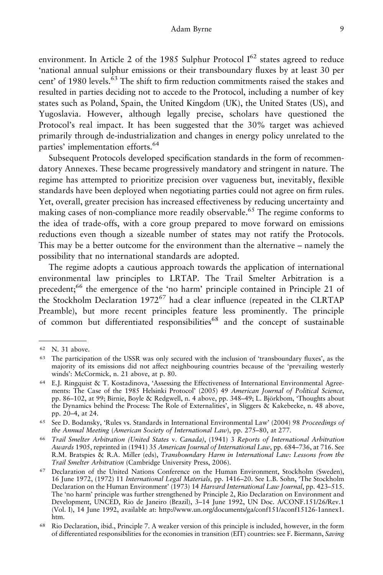environment. In Article 2 of the 1985 Sulphur Protocol  $I^{62}$  states agreed to reduce 'national annual sulphur emissions or their transboundary fluxes by at least 30 per cent' of 1980 levels.<sup>63</sup> The shift to firm reduction commitments raised the stakes and resulted in parties deciding not to accede to the Protocol, including a number of key states such as Poland, Spain, the United Kingdom (UK), the United States (US), and Yugoslavia. However, although legally precise, scholars have questioned the Protocol's real impact. It has been suggested that the 30% target was achieved primarily through de-industrialization and changes in energy policy unrelated to the parties' implementation efforts.64

Subsequent Protocols developed specification standards in the form of recommendatory Annexes. These became progressively mandatory and stringent in nature. The regime has attempted to prioritize precision over vagueness but, inevitably, flexible standards have been deployed when negotiating parties could not agree on firm rules. Yet, overall, greater precision has increased effectiveness by reducing uncertainty and making cases of non-compliance more readily observable.<sup>65</sup> The regime conforms to the idea of trade-offs, with a core group prepared to move forward on emissions reductions even though a sizeable number of states may not ratify the Protocols. This may be a better outcome for the environment than the alternative – namely the possibility that no international standards are adopted.

The regime adopts a cautious approach towards the application of international environmental law principles to LRTAP. The Trail Smelter Arbitration is a precedent:<sup>66</sup> the emergence of the 'no harm' principle contained in Principle 21 of the Stockholm Declaration  $1972^{67}$  had a clear influence (repeated in the CLRTAP Preamble), but more recent principles feature less prominently. The principle of common but differentiated responsibilities<sup>68</sup> and the concept of sustainable

66 Trail Smelter Arbitration (United States v. Canada), (1941) 3 Reports of International Arbitration Awards 1905, reprinted in (1941) 35 American Journal of International Law, pp. 684–736, at 716. See R.M. Bratspies & R.A. Miller (eds), Transboundary Harm in International Law: Lessons from the Trail Smelter Arbitration (Cambridge University Press, 2006).

<sup>62</sup> N. 31 above.

 $63$  The participation of the USSR was only secured with the inclusion of 'transboundary fluxes', as the majority of its emissions did not affect neighbouring countries because of the 'prevailing westerly winds': McCormick, n. 21 above, at p. 80.

<sup>64</sup> E.J. Ringquist & T. Kostadinova, 'Assessing the Effectiveness of International Environmental Agreements: The Case of the 1985 Helsinki Protocol' (2005) 49 American Journal of Political Science, pp. 86–102, at 99; Birnie, Boyle & Redgwell, n. 4 above, pp. 348–49; L. Björkbom, 'Thoughts about the Dynamics behind the Process: The Role of Externalities', in Sliggers & Kakebeeke, n. 48 above, pp. 20–4, at 24.

<sup>65</sup> See D. Bodansky, 'Rules vs. Standards in International Environmental Law' (2004) 98 Proceedings of the Annual Meeting (American Society of International Law), pp. 275–80, at 277.

<sup>67</sup> Declaration of the United Nations Conference on the Human Environment, Stockholm (Sweden), 16 June 1972, (1972) 11 International Legal Materials, pp. 1416–20. See L.B. Sohn, 'The Stockholm Declaration on the Human Environment' (1973) 14 Harvard International Law Journal, pp. 423–515. The 'no harm' principle was further strengthened by Principle 2, Rio Declaration on Environment and Development, UNCED, Rio de Janeiro (Brazil), 3–14 June 1992, UN Doc. A/CONF.151/26/Rev.1 (Vol. I), 14 June 1992, available at: http://www.un.org/documents/ga/conf151/aconf15126-1annex1. htm.

<sup>68</sup> Rio Declaration, ibid., Principle 7. A weaker version of this principle is included, however, in the form of differentiated responsibilities for the economies in transition (EIT) countries: see F. Biermann, Saving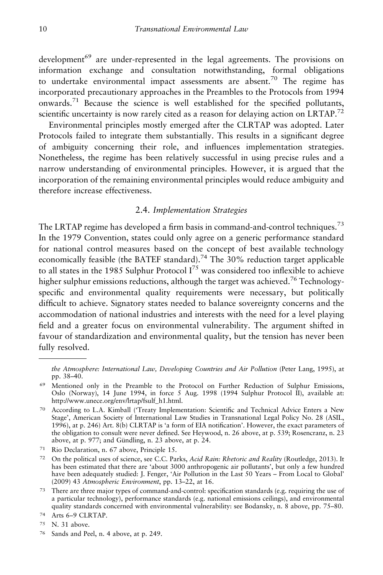development<sup>69</sup> are under-represented in the legal agreements. The provisions on information exchange and consultation notwithstanding, formal obligations to undertake environmental impact assessments are absent.<sup>70</sup> The regime has incorporated precautionary approaches in the Preambles to the Protocols from 1994 onwards.<sup>71</sup> Because the science is well established for the specified pollutants, scientific uncertainty is now rarely cited as a reason for delaying action on LRTAP.<sup>72</sup>

Environmental principles mostly emerged after the CLRTAP was adopted. Later Protocols failed to integrate them substantially. This results in a significant degree of ambiguity concerning their role, and influences implementation strategies. Nonetheless, the regime has been relatively successful in using precise rules and a narrow understanding of environmental principles. However, it is argued that the incorporation of the remaining environmental principles would reduce ambiguity and therefore increase effectiveness.

### 2.4. Implementation Strategies

The LRTAP regime has developed a firm basis in command-and-control techniques.<sup>73</sup> In the 1979 Convention, states could only agree on a generic performance standard for national control measures based on the concept of best available technology economically feasible (the BATEF standard).<sup>74</sup> The  $30\%$  reduction target applicable to all states in the 1985 Sulphur Protocol  $I^{75}$  was considered too inflexible to achieve higher sulphur emissions reductions, although the target was achieved.<sup>76</sup> Technologyspecific and environmental quality requirements were necessary, but politically difficult to achieve. Signatory states needed to balance sovereignty concerns and the accommodation of national industries and interests with the need for a level playing field and a greater focus on environmental vulnerability. The argument shifted in favour of standardization and environmental quality, but the tension has never been fully resolved.

the Atmosphere: International Law, Developing Countries and Air Pollution (Peter Lang, 1995), at pp. 38–40.

<sup>69</sup> Mentioned only in the Preamble to the Protocol on Further Reduction of Sulphur Emissions, Oslo (Norway), 14 June 1994, in force 5 Aug. 1998 (1994 Sulphur Protocol II), available at: http://www.unece.org/env/lrtap/fsulf\_h1.html.

<sup>70</sup> According to L.A. Kimball ('Treaty Implementation: Scientific and Technical Advice Enters a New Stage', American Society of International Law Studies in Transnational Legal Policy No. 28 (ASIL, 1996), at p. 246) Art. 8(b) CLRTAP is 'a form of EIA notification'. However, the exact parameters of the obligation to consult were never defined. See Heywood, n. 26 above, at p. 539; Rosencranz, n. 23 above, at p. 977; and Gündling, n. 23 above, at p. 24.

<sup>71</sup> Rio Declaration, n. 67 above, Principle 15.

<sup>&</sup>lt;sup>72</sup> On the political uses of science, see C.C. Parks, *Acid Rain: Rhetoric and Reality* (Routledge, 2013). It has been estimated that there are 'about 3000 anthropogenic air pollutants', but only a few hundred have been adequately studied: J. Fenger, 'Air Pollution in the Last 50 Years – From Local to Global' (2009) 43 Atmospheric Environment, pp. 13–22, at 16.

<sup>73</sup> There are three major types of command-and-control: specification standards (e.g. requiring the use of a particular technology), performance standards (e.g. national emissions ceilings), and environmental quality standards concerned with environmental vulnerability: see Bodansky, n. 8 above, pp. 75–80.

<sup>74</sup> Arts 6–9 CLRTAP.

<sup>75</sup> N. 31 above.

<sup>76</sup> Sands and Peel, n. 4 above, at p. 249.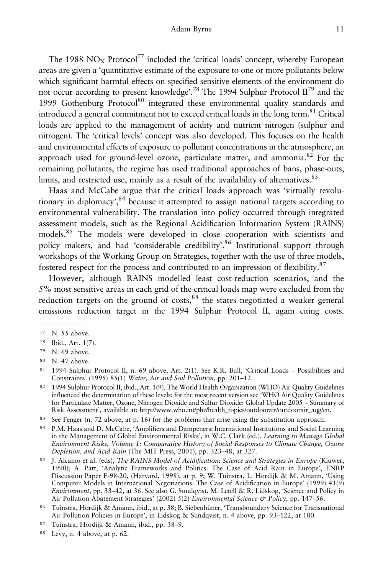#### Adam Byrne 11

The 1988  $NO<sub>x</sub>$  Protocol<sup>77</sup> included the 'critical loads' concept, whereby European areas are given a 'quantitative estimate of the exposure to one or more pollutants below which significant harmful effects on specified sensitive elements of the environment do not occur according to present knowledge'.<sup>78</sup> The 1994 Sulphur Protocol  $\text{II}^{79}$  and the 1999 Gothenburg Protocol<sup>80</sup> integrated these environmental quality standards and introduced a general commitment not to exceed critical loads in the long term.<sup>81</sup> Critical loads are applied to the management of acidity and nutrient nitrogen (sulphur and nitrogen). The 'critical levels' concept was also developed. This focuses on the health and environmental effects of exposure to pollutant concentrations in the atmosphere, an approach used for ground-level ozone, particulate matter, and ammonia.<sup>82</sup> For the remaining pollutants, the regime has used traditional approaches of bans, phase-outs, limits, and restricted use, mainly as a result of the availability of alternatives. $83$ 

Haas and McCabe argue that the critical loads approach was 'virtually revolutionary in diplomacy', <sup>84</sup> because it attempted to assign national targets according to environmental vulnerability. The translation into policy occurred through integrated assessment models, such as the Regional Acidification Information System (RAINS) models.85 The models were developed in close cooperation with scientists and policy makers, and had 'considerable credibility'.<sup>86</sup> Institutional support through workshops of the Working Group on Strategies, together with the use of three models, fostered respect for the process and contributed to an impression of flexibility.87

However, although RAINS modelled least cost-reduction scenarios, and the 5% most sensitive areas in each grid of the critical loads map were excluded from the reduction targets on the ground of costs,<sup>88</sup> the states negotiated a weaker general emissions reduction target in the 1994 Sulphur Protocol II, again citing costs.

<sup>77</sup> N. 55 above.

<sup>78</sup> Ibid., Art. 1(7).

<sup>79</sup> N. 69 above.

<sup>80</sup> N. 47 above.

<sup>81</sup> 1994 Sulphur Protocol II, n. 69 above, Art. 2(1). See K.R. Bull, 'Critical Loads – Possibilities and Constraints' (1995) 85(1) Water, Air and Soil Pollution, pp. 201–12.

<sup>82</sup> 1994 Sulphur Protocol II, ibid., Art. 1(9). The World Health Organization (WHO) Air Quality Guidelines influenced the determination of these levels: for the most recent version see 'WHO Air Quality Guidelines for Particulate Matter, Ozone, Nitrogen Dioxide and Sulfur Dioxide: Global Update 2005 – Summary of Risk Assessment', available at: http://www.who.int/phe/health\_topics/outdoorair/outdoorair\_aqg/en.

<sup>83</sup> See Fenger (n. 72 above, at p. 16) for the problems that arise using the substitution approach.

<sup>84</sup> P.M. Haas and D. McCabe, 'Amplifiers and Dampeners: International Institutions and Social Learning in the Management of Global Environmental Risks', in W.C. Clark (ed.), Learning to Manage Global Environment Risks, Volume 1: Comparative History of Social Responses to Climate Change, Ozone Depletion, and Acid Rain (The MIT Press, 2001), pp. 323–48, at 327.

<sup>85</sup> J. Alcamo et al. (eds), The RAINS Model of Acidification: Science and Strategies in Europe (Kluwer, 1990); A. Patt, 'Analytic Frameworks and Politics: The Case of Acid Rain in Europe', ENRP Discussion Paper E-98-20, (Harvard, 1998), at p. 9; W. Tuinstra, L. Hordijk & M. Amann, 'Using Computer Models in International Negotiations: The Case of Acidification in Europe' (1999) 41(9) Environment, pp. 33–42, at 36. See also G. Sundqvist, M. Letell & R. Lidskog, 'Science and Policy in Air Pollution Abatement Strategies' (2002) 5(2) Environmental Science & Policy, pp. 147–56.

<sup>86</sup> Tuinstra, Hordijk & Amann, ibid., at p. 38; B. Siebenhüner, 'Transboundary Science for Transnational Air Pollution Policies in Europe', in Lidskog & Sundqvist, n. 4 above, pp. 93–122, at 100.

<sup>87</sup> Tuinstra, Hordijk & Amann, ibid., pp. 38–9.

<sup>88</sup> Levy, n. 4 above, at p. 62.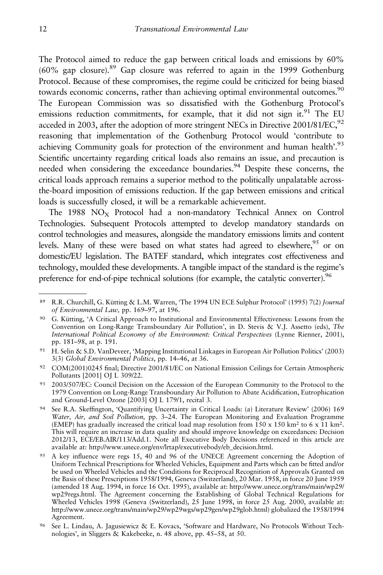The Protocol aimed to reduce the gap between critical loads and emissions by 60%  $(60\%$  gap closure).<sup>89</sup> Gap closure was referred to again in the 1999 Gothenburg Protocol. Because of these compromises, the regime could be criticized for being biased towards economic concerns, rather than achieving optimal environmental outcomes.<sup>90</sup> The European Commission was so dissatisfied with the Gothenburg Protocol's emissions reduction commitments, for example, that it did not sign it.<sup>91</sup> The EU acceded in 2003, after the adoption of more stringent NECs in Directive 2001/81/EC.<sup>92</sup> reasoning that implementation of the Gothenburg Protocol would 'contribute to achieving Community goals for protection of the environment and human health'.<sup>93</sup> Scientific uncertainty regarding critical loads also remains an issue, and precaution is needed when considering the exceedance boundaries.<sup>94</sup> Despite these concerns, the critical loads approach remains a superior method to the politically unpalatable acrossthe-board imposition of emissions reduction. If the gap between emissions and critical loads is successfully closed, it will be a remarkable achievement.

The  $1988$  NO<sub>X</sub> Protocol had a non-mandatory Technical Annex on Control Technologies. Subsequent Protocols attempted to develop mandatory standards on control technologies and measures, alongside the mandatory emissions limits and content levels. Many of these were based on what states had agreed to elsewhere,<sup>95</sup> or on domestic/EU legislation. The BATEF standard, which integrates cost effectiveness and technology, moulded these developments. A tangible impact of the standard is the regime's preference for end-of-pipe technical solutions (for example, the catalytic converter).<sup>96</sup>

<sup>89</sup> R.R. Churchill, G. Kütting & L.M. Warren, 'The 1994 UN ECE Sulphur Protocol' (1995) 7(2) Journal of Environmental Law, pp. 169–97, at 196.

G. Kütting, 'A Critical Approach to Institutional and Environmental Effectiveness: Lessons from the Convention on Long-Range Transboundary Air Pollution', in D. Stevis & V.J. Assetto (eds), The International Political Economy of the Environment: Critical Perspectives (Lynne Rienner, 2001), pp. 181–98, at p. 191.

<sup>91</sup> H. Selin & S.D. VanDeveer, 'Mapping Institutional Linkages in European Air Pollution Politics' (2003) 3(3) Global Environmental Politics, pp. 14–46, at 36.

<sup>92</sup> COM(2001)0245 final; Directive 2001/81/EC on National Emission Ceilings for Certain Atmospheric Pollutants [2001] OJ L 309/22.

<sup>93</sup> 2003/507/EC: Council Decision on the Accession of the European Community to the Protocol to the 1979 Convention on Long-Range Transboundary Air Pollution to Abate Acidification, Eutrophication and Ground-Level Ozone [2003] OJ L 179/1, recital 3.

See R.A. Skeffington, 'Quantifying Uncertainty in Critical Loads: (a) Literature Review' (2006) 169 Water, Air, and Soil Pollution, pp. 3–24. The European Monitoring and Evaluation Programme (EMEP) has gradually increased the critical load map resolution from  $150 \times 150$  km<sup>2</sup> to 6 x  $11$  km<sup>2</sup>. This will require an increase in data quality and should improve knowledge on exceedances: Decision 2012/13, ECE/EB.AIR/113/Add.1. Note all Executive Body Decisions referenced in this article are available at: http://www.unece.org/env/lrtap/executivebody/eb\_decision.html.

<sup>95</sup> A key influence were regs 15, 40 and 96 of the UNECE Agreement concerning the Adoption of Uniform Technical Prescriptions for Wheeled Vehicles, Equipment and Parts which can be fitted and/or be used on Wheeled Vehicles and the Conditions for Reciprocal Recognition of Approvals Granted on the Basis of these Prescriptions 1958/1994, Geneva (Switzerland), 20 Mar. 1958, in force 20 June 1959 (amended 18 Aug. 1994, in force 16 Oct. 1995), available at: http://www.unece.org/trans/main/wp29/ wp29regs.html. The Agreement concerning the Establishing of Global Technical Regulations for Wheeled Vehicles 1998 (Geneva (Switzerland), 25 June 1998, in force 25 Aug. 2000, available at: http://www.unece.org/trans/main/wp29/wp29wgs/wp29gen/wp29glob.html) globalized the 1958/1994 Agreement.

<sup>96</sup> See L. Lindau, A. Jagusiewicz & E. Kovacs, 'Software and Hardware, No Protocols Without Technologies', in Sliggers & Kakebeeke, n. 48 above, pp. 45–58, at 50.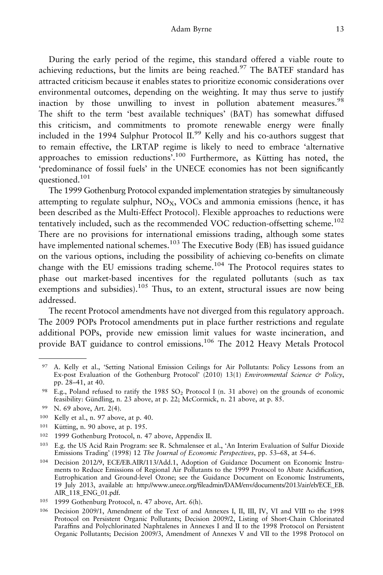During the early period of the regime, this standard offered a viable route to achieving reductions, but the limits are being reached.<sup>97</sup> The BATEF standard has attracted criticism because it enables states to prioritize economic considerations over environmental outcomes, depending on the weighting. It may thus serve to justify inaction by those unwilling to invest in pollution abatement measures.  $98$ The shift to the term 'best available techniques' (BAT) has somewhat diffused this criticism, and commitments to promote renewable energy were finally included in the 1994 Sulphur Protocol  $II^{99}$ . Kelly and his co-authors suggest that to remain effective, the LRTAP regime is likely to need to embrace 'alternative approaches to emission reductions'.<sup>100</sup> Furthermore, as Kütting has noted, the 'predominance of fossil fuels' in the UNECE economies has not been significantly questioned.<sup>101</sup>

The 1999 Gothenburg Protocol expanded implementation strategies by simultaneously attempting to regulate sulphur,  $NO<sub>x</sub>$ , VOCs and ammonia emissions (hence, it has been described as the Multi-Effect Protocol). Flexible approaches to reductions were tentatively included, such as the recommended VOC reduction-offsetting scheme.<sup>102</sup> There are no provisions for international emissions trading, although some states have implemented national schemes.<sup>103</sup> The Executive Body (EB) has issued guidance on the various options, including the possibility of achieving co-benefits on climate change with the EU emissions trading scheme.<sup>104</sup> The Protocol requires states to phase out market-based incentives for the regulated pollutants (such as tax exemptions and subsidies).<sup>105</sup> Thus, to an extent, structural issues are now being addressed.

The recent Protocol amendments have not diverged from this regulatory approach. The 2009 POPs Protocol amendments put in place further restrictions and regulate additional POPs, provide new emission limit values for waste incineration, and provide BAT guidance to control emissions.<sup>106</sup> The 2012 Heavy Metals Protocol

<sup>97</sup> A. Kelly et al., 'Setting National Emission Ceilings for Air Pollutants: Policy Lessons from an Ex-post Evaluation of the Gothenburg Protocol' (2010) 13(1) Environmental Science & Policy, pp. 28–41, at 40.

<sup>98</sup> E.g., Poland refused to ratify the 1985 SO<sub>2</sub> Protocol I (n. 31 above) on the grounds of economic feasibility: Gündling, n. 23 above, at p. 22; McCormick, n. 21 above, at p. 85.

<sup>99</sup> N. 69 above, Art. 2(4).

<sup>100</sup> Kelly et al., n. 97 above, at p. 40.

<sup>101</sup> Kütting, n. 90 above, at p. 195.

<sup>102</sup> 1999 Gothenburg Protocol, n. 47 above, Appendix II.

<sup>103</sup> E.g. the US Acid Rain Program: see R. Schmalensee et al., 'An Interim Evaluation of Sulfur Dioxide Emissions Trading' (1998) 12 The Journal of Economic Perspectives, pp. 53–68, at 54–6.

<sup>104</sup> Decision 2012/9, ECE/EB.AIR/113/Add.1, Adoption of Guidance Document on Economic Instruments to Reduce Emissions of Regional Air Pollutants to the 1999 Protocol to Abate Acidification, Eutrophication and Ground-level Ozone; see the Guidance Document on Economic Instruments, 19 July 2013, available at: http://www.unece.org/fileadmin/DAM/env/documents/2013/air/eb/ECE\_EB. AIR\_118\_ENG\_01.pdf.

<sup>105</sup> 1999 Gothenburg Protocol, n. 47 above, Art. 6(h).

<sup>106</sup> Decision 2009/1, Amendment of the Text of and Annexes I, II, III, IV, VI and VIII to the 1998 Protocol on Persistent Organic Pollutants; Decision 2009/2, Listing of Short-Chain Chlorinated Paraffins and Polychlorinated Naphtalenes in Annexes I and II to the 1998 Protocol on Persistent Organic Pollutants; Decision 2009/3, Amendment of Annexes V and VII to the 1998 Protocol on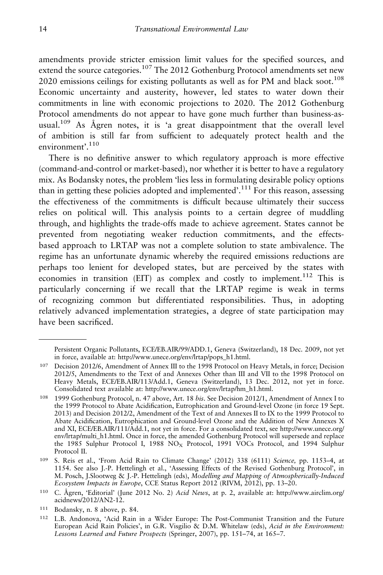amendments provide stricter emission limit values for the specified sources, and extend the source categories.<sup>107</sup> The 2012 Gothenburg Protocol amendments set new 2020 emissions ceilings for existing pollutants as well as for PM and black soot.<sup>108</sup> Economic uncertainty and austerity, however, led states to water down their commitments in line with economic projections to 2020. The 2012 Gothenburg Protocol amendments do not appear to have gone much further than business-asusual.<sup>109</sup> As Ågren notes, it is 'a great disappointment that the overall level of ambition is still far from sufficient to adequately protect health and the environment'. 110

There is no definitive answer to which regulatory approach is more effective (command-and-control or market-based), nor whether it is better to have a regulatory mix. As Bodansky notes, the problem 'lies less in formulating desirable policy options than in getting these policies adopted and implemented'.<sup>111</sup> For this reason, assessing the effectiveness of the commitments is difficult because ultimately their success relies on political will. This analysis points to a certain degree of muddling through, and highlights the trade-offs made to achieve agreement. States cannot be prevented from negotiating weaker reduction commitments, and the effectsbased approach to LRTAP was not a complete solution to state ambivalence. The regime has an unfortunate dynamic whereby the required emissions reductions are perhaps too lenient for developed states, but are perceived by the states with economies in transition (EIT) as complex and costly to implement.<sup>112</sup> This is particularly concerning if we recall that the LRTAP regime is weak in terms of recognizing common but differentiated responsibilities. Thus, in adopting relatively advanced implementation strategies, a degree of state participation may have been sacrificed.

Persistent Organic Pollutants, ECE/EB.AIR/99/ADD.1, Geneva (Switzerland), 18 Dec. 2009, not yet in force, available at: http://www.unece.org/env/lrtap/pops\_h1.html.

<sup>107</sup> Decision 2012/6, Amendment of Annex III to the 1998 Protocol on Heavy Metals, in force; Decision 2012/5, Amendments to the Text of and Annexes Other than III and VII to the 1998 Protocol on Heavy Metals, ECE/EB.AIR/113/Add.1, Geneva (Switzerland), 13 Dec. 2012, not yet in force. Consolidated text available at: http://www.unece.org/env/lrtap/hm\_h1.html.

<sup>108</sup> 1999 Gothenburg Protocol, n. 47 above, Art. 18 bis. See Decision 2012/1, Amendment of Annex I to the 1999 Protocol to Abate Acidification, Eutrophication and Ground-level Ozone (in force 19 Sept. 2013) and Decision 2012/2, Amendment of the Text of and Annexes II to IX to the 1999 Protocol to Abate Acidification, Eutrophication and Ground-level Ozone and the Addition of New Annexes X and XI, ECE/EB.AIR/111/Add.1, not yet in force. For a consolidated text, see http://www.unece.org/ env/lrtap/multi\_h1.html. Once in force, the amended Gothenburg Protocol will supersede and replace the 1985 Sulphur Protocol I, 1988  $NO_x$  Protocol, 1991 VOCs Protocol, and 1994 Sulphur Protocol II.

<sup>109</sup> S. Reis et al., 'From Acid Rain to Climate Change' (2012) 338 (6111) Science, pp. 1153–4, at 1154. See also J.-P. Hettelingh et al., 'Assessing Effects of the Revised Gothenburg Protocol', in M. Posch, J.Slootweg & J.-P. Hettelingh (eds), Modelling and Mapping of Atmospherically-Induced Ecosystem Impacts in Europe, CCE Status Report 2012 (RIVM, 2012), pp. 13–20.

<sup>110</sup> C. Ågren, 'Editorial' (June 2012 No. 2) Acid News, at p. 2, available at: http://www.airclim.org/ acidnews/2012/AN2-12.

<sup>111</sup> Bodansky, n. 8 above, p. 84.

<sup>112</sup> L.B. Andonova, 'Acid Rain in a Wider Europe: The Post-Communist Transition and the Future European Acid Rain Policies', in G.R. Visgilio & D.M. Whitelaw (eds), Acid in the Environment: Lessons Learned and Future Prospects (Springer, 2007), pp. 151–74, at 165–7.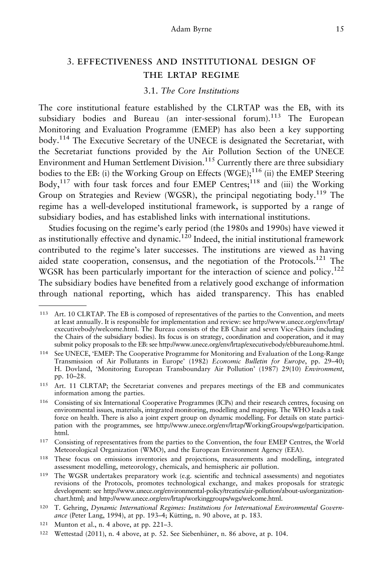# 3. effectiveness and institutional design of THE LRTAP REGIME

### 3.1. The Core Institutions

The core institutional feature established by the CLRTAP was the EB, with its subsidiary bodies and Bureau (an inter-sessional forum).<sup>113</sup> The European Monitoring and Evaluation Programme (EMEP) has also been a key supporting body.<sup>114</sup> The Executive Secretary of the UNECE is designated the Secretariat, with the Secretariat functions provided by the Air Pollution Section of the UNECE Environment and Human Settlement Division.<sup>115</sup> Currently there are three subsidiary bodies to the EB: (i) the Working Group on Effects (WGE);<sup>116</sup> (ii) the EMEP Steering Body,<sup>117</sup> with four task forces and four EMEP Centres;<sup>118</sup> and (iii) the Working Group on Strategies and Review (WGSR), the principal negotiating body.<sup>119</sup> The regime has a well-developed institutional framework, is supported by a range of subsidiary bodies, and has established links with international institutions.

Studies focusing on the regime's early period (the 1980s and 1990s) have viewed it as institutionally effective and dynamic.<sup>120</sup> Indeed, the initial institutional framework contributed to the regime's later successes. The institutions are viewed as having aided state cooperation, consensus, and the negotiation of the Protocols.<sup>121</sup> The WGSR has been particularly important for the interaction of science and policy.<sup>122</sup> The subsidiary bodies have benefited from a relatively good exchange of information through national reporting, which has aided transparency. This has enabled

<sup>113</sup> Art. 10 CLRTAP. The EB is composed of representatives of the parties to the Convention, and meets at least annually. It is responsible for implementation and review: see http://www.unece.org/env/lrtap/ executivebody/welcome.html. The Bureau consists of the EB Chair and seven Vice-Chairs (including the Chairs of the subsidiary bodies). Its focus is on strategy, coordination and cooperation, and it may submit policy proposals to the EB: see http://www.unece.org/env/lrtap/executivebody/ebbureauhome.html.

<sup>114</sup> See UNECE, 'EMEP: The Cooperative Programme for Monitoring and Evaluation of the Long-Range Transmission of Air Pollutants in Europe' (1982) Economic Bulletin for Europe, pp. 29–40; H. Dovland, 'Monitoring European Transboundary Air Pollution' (1987) 29(10) Environment, pp. 10–28.

<sup>115</sup> Art. 11 CLRTAP; the Secretariat convenes and prepares meetings of the EB and communicates information among the parties.

<sup>116</sup> Consisting of six International Cooperative Programmes (ICPs) and their research centres, focusing on environmental issues, materials, integrated monitoring, modelling and mapping. The WHO leads a task force on health. There is also a joint expert group on dynamic modelling. For details on state participation with the programmes, see http://www.unece.org/env/lrtap/WorkingGroups/wge/participation. html.

<sup>117</sup> Consisting of representatives from the parties to the Convention, the four EMEP Centres, the World Meteorological Organization (WMO), and the European Environment Agency (EEA).

<sup>118</sup> These focus on emissions inventories and projections, measurements and modelling, integrated assessment modelling, meteorology, chemicals, and hemispheric air pollution.

<sup>119</sup> The WGSR undertakes preparatory work (e.g. scientific and technical assessments) and negotiates revisions of the Protocols, promotes technological exchange, and makes proposals for strategic development: see http://www.unece.org/environmental-policy/treaties/air-pollution/about-us/organizationchart.html; and http://www.unece.org/env/lrtap/workinggroups/wgs/welcome.html.

<sup>120</sup> T. Gehring, Dynamic International Regimes: Institutions for International Environmental Governance (Peter Lang, 1994), at pp. 193–4; Kütting, n. 90 above, at p. 183.

<sup>121</sup> Munton et al., n. 4 above, at pp. 221–3.

<sup>122</sup> Wettestad (2011), n. 4 above, at p. 52. See Siebenhüner, n. 86 above, at p. 104.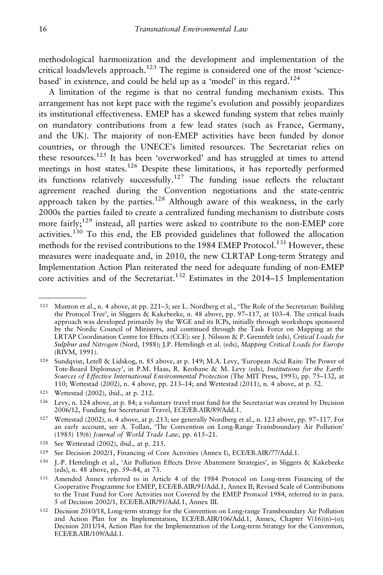methodological harmonization and the development and implementation of the critical loads/levels approach.<sup>123</sup> The regime is considered one of the most 'sciencebased' in existence, and could be held up as a 'model' in this regard.<sup>124</sup>

A limitation of the regime is that no central funding mechanism exists. This arrangement has not kept pace with the regime's evolution and possibly jeopardizes its institutional effectiveness. EMEP has a skewed funding system that relies mainly on mandatory contributions from a few lead states (such as France, Germany, and the UK). The majority of non-EMEP activities have been funded by donor countries, or through the UNECE's limited resources. The Secretariat relies on these resources.<sup>125</sup> It has been 'overworked' and has struggled at times to attend meetings in host states.<sup>126</sup> Despite these limitations, it has reportedly performed its functions relatively successfully.<sup>127</sup> The funding issue reflects the reluctant agreement reached during the Convention negotiations and the state-centric approach taken by the parties.<sup>128</sup> Although aware of this weakness, in the early 2000s the parties failed to create a centralized funding mechanism to distribute costs more fairly;<sup>129</sup> instead, all parties were asked to contribute to the non-EMEP core activities.<sup>130</sup> To this end, the EB provided guidelines that followed the allocation methods for the revised contributions to the 1984 EMEP Protocol.<sup>131</sup> However, these measures were inadequate and, in 2010, the new CLRTAP Long-term Strategy and Implementation Action Plan reiterated the need for adequate funding of non-EMEP core activities and of the Secretariat.<sup>132</sup> Estimates in the 2014–15 Implementation

128 See Wettestad (2002), ibid., at p. 215.

<sup>123</sup> Munton et al., n. 4 above, at pp. 221–3; see L. Nordberg et al., 'The Role of the Secretariat: Building the Protocol Tree', in Sliggers & Kakebeeke, n. 48 above, pp. 97–117, at 103–4. The critical loads approach was developed primarily by the WGE and its ICPs, initially through workshops sponsored by the Nordic Council of Ministers, and continued through the Task Force on Mapping at the LRTAP Coordination Centre for Effects (CCE): see J. Nilsson & P. Grennfelt (eds), Critical Loads for Sulphur and Nitrogen (Nord, 1988); J.P. Hettelingh et al. (eds), Mapping Critical Loads for Europe (RIVM, 1991).

<sup>124</sup> Sundqvist, Letell & Lidskog, n. 85 above, at p. 149; M.A. Levy, 'European Acid Rain: The Power of Tote-Board Diplomacy', in P.M. Haas, R. Keohane & M. Levy (eds), Institutions for the Earth: Sources of Effective International Environmental Protection (The MIT Press, 1993), pp. 75–132, at 110; Wettestad (2002), n. 4 above, pp. 213–14; and Wettestad (2011), n. 4 above, at p. 52.

<sup>125</sup> Wettestad (2002), ibid., at p. 212.

<sup>126</sup> Levy, n. 124 above, at p. 84; a voluntary travel trust fund for the Secretariat was created by Decision 2006/12, Funding for Secretariat Travel, ECE/EB.AIR/89/Add.1.

<sup>127</sup> Wettestad (2002), n. 4 above, at p. 213; see generally Nordberg et al., n. 123 above, pp. 97–117. For an early account, see A. Tollan, 'The Convention on Long-Range Transboundary Air Pollution' (1985) 19(6) Journal of World Trade Law, pp. 615–21.

<sup>129</sup> See Decision 2002/1, Financing of Core Activities (Annex I), ECE/EB.AIR/77/Add.1.

<sup>130</sup> J.-P. Hettelingh et al., 'Air Pollution Effects Drive Abatement Strategies', in Sliggers & Kakebeeke (eds), n. 48 above, pp. 59–84, at 73.

<sup>131</sup> Amended Annex referred to in Article 4 of the 1984 Protocol on Long-term Financing of the Cooperative Programme for EMEP, ECE/EB.AIR/91/Add.1, Annex II; Revised Scale of Contributions to the Trust Fund for Core Activities not Covered by the EMEP Protocol 1984, referred to in para. 5 of Decision 2002/1, ECE/EB.AIR/91/Add.1, Annex III.

<sup>132</sup> Decision 2010/18, Long-term strategy for the Convention on Long-range Transboundary Air Pollution and Action Plan for its Implementation, ECE/EB.AIR/106/Add.1, Annex, Chapter  $V(16)(n)$ –(o); Decision 2011/14, Action Plan for the Implementation of the Long-term Strategy for the Convention, ECE/EB.AIR/109/Add.1.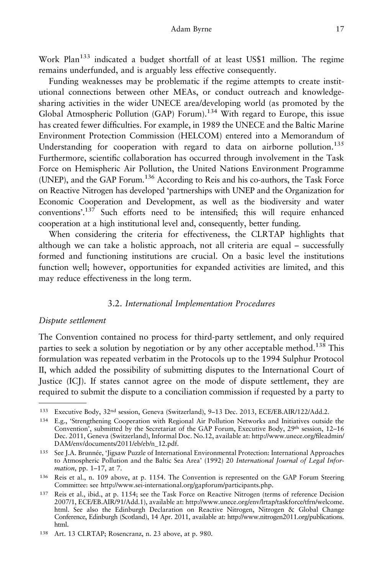Work Plan<sup>133</sup> indicated a budget shortfall of at least US\$1 million. The regime remains underfunded, and is arguably less effective consequently.

Funding weaknesses may be problematic if the regime attempts to create institutional connections between other MEAs, or conduct outreach and knowledgesharing activities in the wider UNECE area/developing world (as promoted by the Global Atmospheric Pollution (GAP) Forum).<sup>134</sup> With regard to Europe, this issue has created fewer difficulties. For example, in 1989 the UNECE and the Baltic Marine Environment Protection Commission (HELCOM) entered into a Memorandum of Understanding for cooperation with regard to data on airborne pollution.<sup>135</sup> Furthermore, scientific collaboration has occurred through involvement in the Task Force on Hemispheric Air Pollution, the United Nations Environment Programme (UNEP), and the GAP Forum.136 According to Reis and his co-authors, the Task Force on Reactive Nitrogen has developed 'partnerships with UNEP and the Organization for Economic Cooperation and Development, as well as the biodiversity and water conventions'. <sup>137</sup> Such efforts need to be intensified; this will require enhanced cooperation at a high institutional level and, consequently, better funding.

When considering the criteria for effectiveness, the CLRTAP highlights that although we can take a holistic approach, not all criteria are equal – successfully formed and functioning institutions are crucial. On a basic level the institutions function well; however, opportunities for expanded activities are limited, and this may reduce effectiveness in the long term.

## 3.2. International Implementation Procedures

### Dispute settlement

The Convention contained no process for third-party settlement, and only required parties to seek a solution by negotiation or by any other acceptable method.<sup>138</sup> This formulation was repeated verbatim in the Protocols up to the 1994 Sulphur Protocol II, which added the possibility of submitting disputes to the International Court of Justice (ICJ). If states cannot agree on the mode of dispute settlement, they are required to submit the dispute to a conciliation commission if requested by a party to

<sup>133</sup> Executive Body, 32nd session, Geneva (Switzerland), 9–13 Dec. 2013, ECE/EB.AIR/122/Add.2.

<sup>134</sup> E.g., 'Strengthening Cooperation with Regional Air Pollution Networks and Initiatives outside the Convention', submitted by the Secretariat of the GAP Forum, Executive Body, 29th session, 12–16 Dec. 2011, Geneva (Switzerland), Informal Doc. No.12, available at: http://www.unece.org/fileadmin/ DAM/env/documents/2011/eb/eb/n\_12.pdf.

<sup>135</sup> See J.A. Brunnée, 'Jigsaw Puzzle of International Environmental Protection: International Approaches to Atmospheric Pollution and the Baltic Sea Area' (1992) 20 International Journal of Legal Information, pp. 1–17, at 7.

<sup>136</sup> Reis et al., n. 109 above, at p. 1154. The Convention is represented on the GAP Forum Steering Committee: see http://www.sei-international.org/gapforum/participants.php.

<sup>137</sup> Reis et al., ibid., at p. 1154; see the Task Force on Reactive Nitrogen (terms of reference Decision 2007/1, ECE/EB.AIR/91/Add.1), available at: http://www.unece.org/env/lrtap/taskforce/tfrn/welcome. html. See also the Edinburgh Declaration on Reactive Nitrogen, Nitrogen & Global Change Conference, Edinburgh (Scotland), 14 Apr. 2011, available at: http://www.nitrogen2011.org/publications. html.

<sup>138</sup> Art. 13 CLRTAP; Rosencranz, n. 23 above, at p. 980.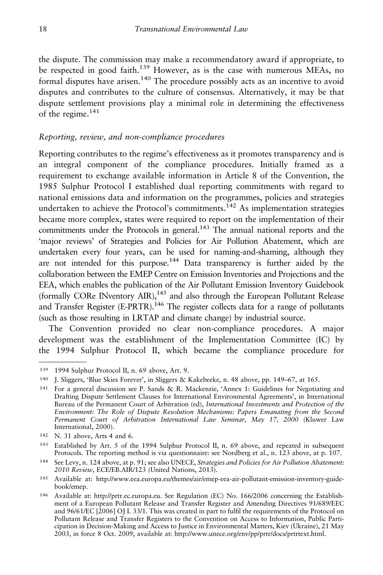the dispute. The commission may make a recommendatory award if appropriate, to be respected in good faith.<sup>139</sup> However, as is the case with numerous MEAs, no formal disputes have arisen.<sup>140</sup> The procedure possibly acts as an incentive to avoid disputes and contributes to the culture of consensus. Alternatively, it may be that dispute settlement provisions play a minimal role in determining the effectiveness of the regime.<sup>141</sup>

# Reporting, review, and non-compliance procedures

Reporting contributes to the regime's effectiveness as it promotes transparency and is an integral component of the compliance procedures. Initially framed as a requirement to exchange available information in Article 8 of the Convention, the 1985 Sulphur Protocol I established dual reporting commitments with regard to national emissions data and information on the programmes, policies and strategies undertaken to achieve the Protocol's commitments.<sup>142</sup> As implementation strategies became more complex, states were required to report on the implementation of their commitments under the Protocols in general.<sup>143</sup> The annual national reports and the 'major reviews' of Strategies and Policies for Air Pollution Abatement, which are undertaken every four years, can be used for naming-and-shaming, although they are not intended for this purpose.144 Data transparency is further aided by the collaboration between the EMEP Centre on Emission Inventories and Projections and the EEA, which enables the publication of the Air Pollutant Emission Inventory Guidebook (formally CORe INventory  $AIR$ ),<sup>145</sup> and also through the European Pollutant Release and Transfer Register (E-PRTR).<sup>146</sup> The register collects data for a range of pollutants (such as those resulting in LRTAP and climate change) by industrial source.

The Convention provided no clear non-compliance procedures. A major development was the establishment of the Implementation Committee (IC) by the 1994 Sulphur Protocol II, which became the compliance procedure for

<sup>139</sup> 1994 Sulphur Protocol II, n. 69 above, Art. 9.

<sup>140</sup> J. Sliggers, 'Blue Skies Forever', in Sliggers & Kakebeeke, n. 48 above, pp. 149–67, at 165.

<sup>141</sup> For a general discussion see P. Sands & R. Mackenzie, 'Annex 1: Guidelines for Negotiating and Drafting Dispute Settlement Clauses for International Environmental Agreements', in International Bureau of the Permanent Court of Arbitration (ed), International Investments and Protection of the Environment: The Role of Dispute Resolution Mechanisms: Papers Emanating from the Second Permanent Court of Arbitration International Law Seminar, May 17, 2000 (Kluwer Law International, 2000).

<sup>142</sup> N. 31 above, Arts 4 and 6.

<sup>143</sup> Established by Art. 5 of the 1994 Sulphur Protocol II, n. 69 above, and repeated in subsequent Protocols. The reporting method is via questionnaire: see Nordberg et al., n. 123 above, at p. 107.

<sup>&</sup>lt;sup>144</sup> See Levy, n. 124 above, at p. 91; see also UNECE, Strategies and Policies for Air Pollution Abatement: 2010 Review, ECE/EB.AIR/123 (United Nations, 2013).

<sup>145</sup> Available at: http://www.eea.europa.eu/themes/air/emep-eea-air-pollutant-emission-inventory-guidebook/emep.

<sup>146</sup> Available at: http://prtr.ec.europa.eu. See Regulation (EC) No. 166/2006 concerning the Establishment of a European Pollutant Release and Transfer Register and Amending Directives 91/689/EEC and 96/61/EC [2006] OJ L 33/1. This was created in part to fulfil the requirements of the Protocol on Pollutant Release and Transfer Registers to the Convention on Access to Information, Public Participation in Decision-Making and Access to Justice in Environmental Matters, Kiev (Ukraine), 21 May 2003, in force 8 Oct. 2009, available at: http://www.unece.org/env/pp/prtr/docs/prtrtext.html.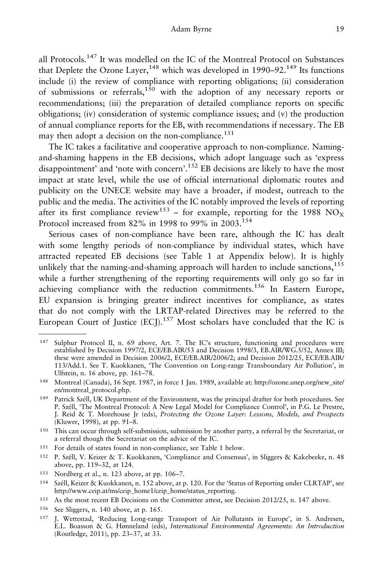all Protocols.<sup>147</sup> It was modelled on the IC of the Montreal Protocol on Substances that Deplete the Ozone Layer,  $148$  which was developed in 1990–92.<sup>149</sup> Its functions include (i) the review of compliance with reporting obligations; (ii) consideration of submissions or referrals,<sup>150</sup> with the adoption of any necessary reports or recommendations; (iii) the preparation of detailed compliance reports on specific obligations; (iv) consideration of systemic compliance issues; and (v) the production of annual compliance reports for the EB, with recommendations if necessary. The EB may then adopt a decision on the non-compliance.<sup>151</sup>

The IC takes a facilitative and cooperative approach to non-compliance. Namingand-shaming happens in the EB decisions, which adopt language such as 'express disappointment' and 'note with concern'. <sup>152</sup> EB decisions are likely to have the most impact at state level, while the use of official international diplomatic routes and publicity on the UNECE website may have a broader, if modest, outreach to the public and the media. The activities of the IC notably improved the levels of reporting after its first compliance review<sup>153</sup> – for example, reporting for the 1988 NO<sub>x</sub> Protocol increased from 82% in 1998 to 99% in 2003.<sup>154</sup>

Serious cases of non-compliance have been rare, although the IC has dealt with some lengthy periods of non-compliance by individual states, which have attracted repeated EB decisions (see Table 1 at Appendix below). It is highly unlikely that the naming-and-shaming approach will harden to include sanctions, $155$ while a further strengthening of the reporting requirements will only go so far in achieving compliance with the reduction commitments.<sup>156</sup> In Eastern Europe, EU expansion is bringing greater indirect incentives for compliance, as states that do not comply with the LRTAP-related Directives may be referred to the European Court of Justice (ECJ).<sup>157</sup> Most scholars have concluded that the IC is

- 151 For details of states found in non-compliance, see Table 1 below.
- 152 P. Széll, V. Keizer & T. Kuokkanen, 'Compliance and Consensus', in Sliggers & Kakebeeke, n. 48 above, pp. 119–32, at 124.
- 153 Nordberg et al., n. 123 above, at pp. 106–7.
- 154 Széll, Keizer & Kuokkanen, n. 152 above, at p. 120. For the 'Status of Reporting under CLRTAP', see http://www.ceip.at/ms/ceip\_home1/ceip\_home/status\_reporting.
- 155 As the most recent EB Decisions on the Committee attest, see Decision 2012/25, n. 147 above.
- 156 See Sliggers, n. 140 above, at p. 165.
- 157 J. Wettestad, 'Reducing Long-range Transport of Air Pollutants in Europe', in S. Andresen, E.L. Boasson & G. Hønneland (eds), International Environmental Agreements: An Introduction (Routledge, 2011), pp. 23–37, at 33.

<sup>147</sup> Sulphur Protocol II, n. 69 above, Art. 7. The IC's structure, functioning and procedures were established by Decision 1997/2, ECE/EB.AIR/53 and Decision 1998/3, EB.AIR/WG.5/52, Annex III; these were amended in Decision 2006/2, ECE/EB.AIR/2006/2; and Decision 2012/25, ECE/EB.AIR/ 113/Add.1. See T. Kuokkanen, 'The Convention on Long-range Transboundary Air Pollution', in Ulfstein, n. 16 above, pp. 161–78.

<sup>148</sup> Montreal (Canada), 16 Sept. 1987, in force 1 Jan. 1989, available at: http://ozone.unep.org/new\_site/ en/montreal\_protocol.php.

<sup>149</sup> Patrick Széll, UK Department of the Environment, was the principal drafter for both procedures. See P. Széll, 'The Montreal Protocol: A New Legal Model for Compliance Control', in P.G. Le Prestre, J. Reid & T. Morehouse Jr (eds), Protecting the Ozone Layer: Lessons, Models, and Prospects (Kluwer, 1998), at pp. 91–8.

<sup>150</sup> This can occur through self-submission, submission by another party, a referral by the Secretariat, or a referral though the Secretariat on the advice of the IC.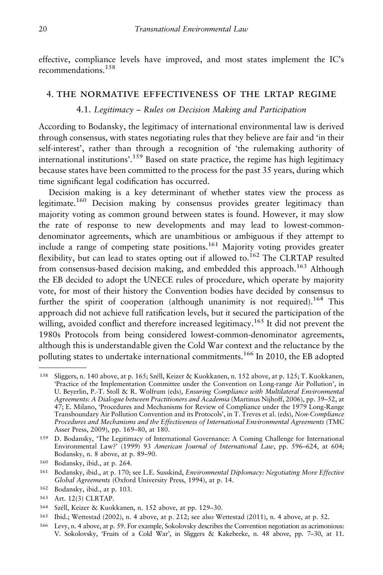effective, compliance levels have improved, and most states implement the IC's recommendations.158

### 4. the normative effectiveness of the lrtap regime

# 4.1. Legitimacy – Rules on Decision Making and Participation

According to Bodansky, the legitimacy of international environmental law is derived through consensus, with states negotiating rules that they believe are fair and 'in their self-interest', rather than through a recognition of 'the rulemaking authority of international institutions'. <sup>159</sup> Based on state practice, the regime has high legitimacy because states have been committed to the process for the past 35 years, during which time significant legal codification has occurred.

Decision making is a key determinant of whether states view the process as legitimate.<sup>160</sup> Decision making by consensus provides greater legitimacy than majority voting as common ground between states is found. However, it may slow the rate of response to new developments and may lead to lowest-commondenominator agreements, which are unambitious or ambiguous if they attempt to include a range of competing state positions.<sup>161</sup> Majority voting provides greater flexibility, but can lead to states opting out if allowed to.<sup>162</sup> The CLRTAP resulted from consensus-based decision making, and embedded this approach.<sup>163</sup> Although the EB decided to adopt the UNECE rules of procedure, which operate by majority vote, for most of their history the Convention bodies have decided by consensus to further the spirit of cooperation (although unanimity is not required).<sup>164</sup> This approach did not achieve full ratification levels, but it secured the participation of the willing, avoided conflict and therefore increased legitimacy.<sup>165</sup> It did not prevent the 1980s Protocols from being considered lowest-common-denominator agreements, although this is understandable given the Cold War context and the reluctance by the polluting states to undertake international commitments.<sup>166</sup> In 2010, the EB adopted

- 162 Bodansky, ibid., at p. 103.
- 163 Art. 12(3) CLRTAP.
- 164 Széll, Keizer & Kuokkanen, n. 152 above, at pp. 129–30.

<sup>158</sup> Sliggers, n. 140 above, at p. 165; Széll, Keizer & Kuokkanen, n. 152 above, at p. 125; T. Kuokkanen, 'Practice of the Implementation Committee under the Convention on Long-range Air Pollution', in U. Beyerlin, P.-T. Stoll & R. Wolfrum (eds), Ensuring Compliance with Multilateral Environmental Agreements: A Dialogue between Practitioners and Academia (Martinus Nijhoff, 2006), pp. 39–52, at 47; E. Milano, 'Procedures and Mechanisms for Review of Compliance under the 1979 Long-Range Transboundary Air Pollution Convention and its Protocols', in T. Treves et al. (eds), Non-Compliance Procedures and Mechanisms and the Effectiveness of International Environmental Agreements (TMC Asser Press, 2009), pp. 169–80, at 180.

<sup>159</sup> D. Bodansky, 'The Legitimacy of International Governance: A Coming Challenge for International Environmental Law?' (1999) 93 American Journal of International Law, pp. 596–624, at 604; Bodansky, n. 8 above, at p. 89–90.

<sup>160</sup> Bodansky, ibid., at p. 264.

<sup>161</sup> Bodansky, ibid., at p. 170; see L.E. Susskind, Environmental Diplomacy: Negotiating More Effective Global Agreements (Oxford University Press, 1994), at p. 14.

<sup>165</sup> Ibid.; Wettestad (2002), n. 4 above, at p. 212; see also Wettestad (2011), n. 4 above, at p. 52.

<sup>166</sup> Levy, n. 4 above, at p. 59. For example, Sokolovsky describes the Convention negotiation as acrimonious: V. Sokolovsky, 'Fruits of a Cold War', in Sliggers & Kakebeeke, n. 48 above, pp. 7–30, at 11.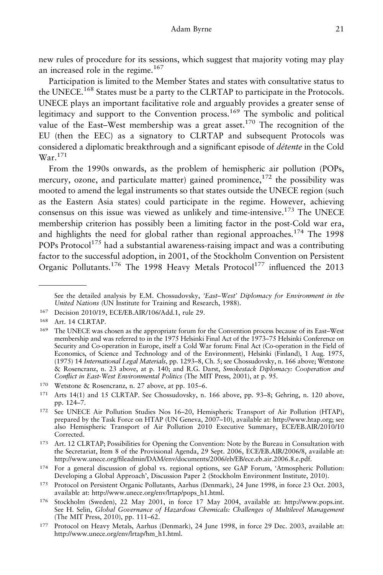new rules of procedure for its sessions, which suggest that majority voting may play an increased role in the regime.<sup>167</sup>

Participation is limited to the Member States and states with consultative status to the UNECE.<sup>168</sup> States must be a party to the CLRTAP to participate in the Protocols. UNECE plays an important facilitative role and arguably provides a greater sense of legitimacy and support to the Convention process.<sup>169</sup> The symbolic and political value of the East–West membership was a great asset.<sup>170</sup> The recognition of the EU (then the EEC) as a signatory to CLRTAP and subsequent Protocols was considered a diplomatic breakthrough and a significant episode of détente in the Cold War.<sup>171</sup>

From the 1990s onwards, as the problem of hemispheric air pollution (POPs, mercury, ozone, and particulate matter) gained prominence,  $172$  the possibility was mooted to amend the legal instruments so that states outside the UNECE region (such as the Eastern Asia states) could participate in the regime. However, achieving consensus on this issue was viewed as unlikely and time-intensive.<sup>173</sup> The UNECE membership criterion has possibly been a limiting factor in the post-Cold war era, and highlights the need for global rather than regional approaches.<sup>174</sup> The 1998 POPs Protocol<sup>175</sup> had a substantial awareness-raising impact and was a contributing factor to the successful adoption, in 2001, of the Stockholm Convention on Persistent Organic Pollutants.<sup>176</sup> The 1998 Heavy Metals Protocol<sup>177</sup> influenced the 2013

See the detailed analysis by E.M. Chossudovsky, 'East-West' Diplomacy for Environment in the United Nations (UN Institute for Training and Research, 1988).

<sup>167</sup> Decision 2010/19, ECE/EB.AIR/106/Add.1, rule 29.

<sup>168</sup> Art. 14 CLRTAP.

<sup>169</sup> The UNECE was chosen as the appropriate forum for the Convention process because of its East–West membership and was referred to in the 1975 Helsinki Final Act of the 1973–75 Helsinki Conference on Security and Co-operation in Europe, itself a Cold War forum: Final Act (Co-operation in the Field of Economics, of Science and Technology and of the Environment), Helsinki (Finland), 1 Aug. 1975, (1975) 14 International Legal Materials, pp. 1293–8, Ch. 5; see Chossudovsky, n. 166 above; Wetstone & Rosencranz, n. 23 above, at p. 140; and R.G. Darst, Smokestack Diplomacy: Cooperation and Conflict in East-West Environmental Politics (The MIT Press, 2001), at p. 95.

<sup>170</sup> Wetstone & Rosencranz, n. 27 above, at pp. 105–6.

<sup>171</sup> Arts 14(1) and 15 CLRTAP. See Chossudovsky, n. 166 above, pp. 93–8; Gehring, n. 120 above, pp. 124–7.

<sup>172</sup> See UNECE Air Pollution Studies Nos 16–20, Hemispheric Transport of Air Pollution (HTAP), prepared by the Task Force on HTAP (UN Geneva, 2007–10), available at: http://www.htap.org; see also Hemispheric Transport of Air Pollution 2010 Executive Summary, ECE/EB.AIR/2010/10 Corrected.

<sup>173</sup> Art. 12 CLRTAP; Possibilities for Opening the Convention: Note by the Bureau in Consultation with the Secretariat, Item 8 of the Provisional Agenda, 29 Sept. 2006, ECE/EB.AIR/2006/8, available at: http://www.unece.org/fileadmin/DAM/env/documents/2006/eb/EB/ece.eb.air.2006.8.e.pdf.

<sup>174</sup> For a general discussion of global vs. regional options, see GAP Forum, 'Atmospheric Pollution: Developing a Global Approach', Discussion Paper 2 (Stockholm Environment Institute, 2010).

<sup>175</sup> Protocol on Persistent Organic Pollutants, Aarhus (Denmark), 24 June 1998, in force 23 Oct. 2003, available at: http://www.unece.org/env/lrtap/pops\_h1.html.

<sup>176</sup> Stockholm (Sweden), 22 May 2001, in force 17 May 2004, available at: http://www.pops.int. See H. Selin, Global Governance of Hazardous Chemicals: Challenges of Multilevel Management (The MIT Press, 2010), pp. 111–62.

<sup>177</sup> Protocol on Heavy Metals, Aarhus (Denmark), 24 June 1998, in force 29 Dec. 2003, available at: http://www.unece.org/env/lrtap/hm\_h1.html.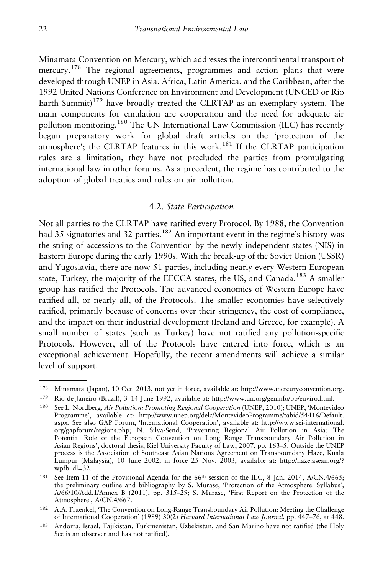Minamata Convention on Mercury, which addresses the intercontinental transport of mercury.<sup>178</sup> The regional agreements, programmes and action plans that were developed through UNEP in Asia, Africa, Latin America, and the Caribbean, after the 1992 United Nations Conference on Environment and Development (UNCED or Rio Earth Summit)<sup>179</sup> have broadly treated the CLRTAP as an exemplary system. The main components for emulation are cooperation and the need for adequate air pollution monitoring.<sup>180</sup> The UN International Law Commission (ILC) has recently begun preparatory work for global draft articles on the 'protection of the atmosphere'; the CLRTAP features in this work.<sup>181</sup> If the CLRTAP participation rules are a limitation, they have not precluded the parties from promulgating international law in other forums. As a precedent, the regime has contributed to the adoption of global treaties and rules on air pollution.

## 4.2. State Participation

Not all parties to the CLRTAP have ratified every Protocol. By 1988, the Convention had 35 signatories and 32 parties.<sup>182</sup> An important event in the regime's history was the string of accessions to the Convention by the newly independent states (NIS) in Eastern Europe during the early 1990s. With the break-up of the Soviet Union (USSR) and Yugoslavia, there are now 51 parties, including nearly every Western European state, Turkey, the majority of the EECCA states, the US, and Canada.<sup>183</sup> A smaller group has ratified the Protocols. The advanced economies of Western Europe have ratified all, or nearly all, of the Protocols. The smaller economies have selectively ratified, primarily because of concerns over their stringency, the cost of compliance, and the impact on their industrial development (Ireland and Greece, for example). A small number of states (such as Turkey) have not ratified any pollution-specific Protocols. However, all of the Protocols have entered into force, which is an exceptional achievement. Hopefully, the recent amendments will achieve a similar level of support.

<sup>178</sup> Minamata (Japan), 10 Oct. 2013, not yet in force, available at: http://www.mercuryconvention.org.

<sup>179</sup> Rio de Janeiro (Brazil), 3–14 June 1992, available at: http://www.un.org/geninfo/bp/enviro.html.

<sup>180</sup> See L. Nordberg, Air Pollution: Promoting Regional Cooperation (UNEP, 2010); UNEP, 'Montevideo Programme', available at: http://www.unep.org/delc/MontevideoProgramme/tabid/54416/Default. aspx. See also GAP Forum, 'International Cooperation', available at: http://www.sei-international. org/gapforum/regions.php; N. Silva-Send, 'Preventing Regional Air Pollution in Asia: The Potential Role of the European Convention on Long Range Transboundary Air Pollution in Asian Regions', doctoral thesis, Kiel University Faculty of Law, 2007, pp. 163–5. Outside the UNEP process is the Association of Southeast Asian Nations Agreement on Transboundary Haze, Kuala Lumpur (Malaysia), 10 June 2002, in force 25 Nov. 2003, available at: http://haze.asean.org/?  $wpfb$ \_dl=32.

<sup>181</sup> See Item 11 of the Provisional Agenda for the 66th session of the ILC, 8 Jan. 2014, A/CN.4/665; the preliminary outline and bibliography by S. Murase, 'Protection of the Atmosphere: Syllabus', A/66/10/Add.1/Annex B (2011), pp. 315–29; S. Murase, 'First Report on the Protection of the Atmosphere', A/CN.4/667.

<sup>182</sup> A.A. Fraenkel, 'The Convention on Long-Range Transboundary Air Pollution: Meeting the Challenge of International Cooperation' (1989) 30(2) Harvard International Law Journal, pp. 447–76, at 448.

<sup>183</sup> Andorra, Israel, Tajikistan, Turkmenistan, Uzbekistan, and San Marino have not ratified (the Holy See is an observer and has not ratified).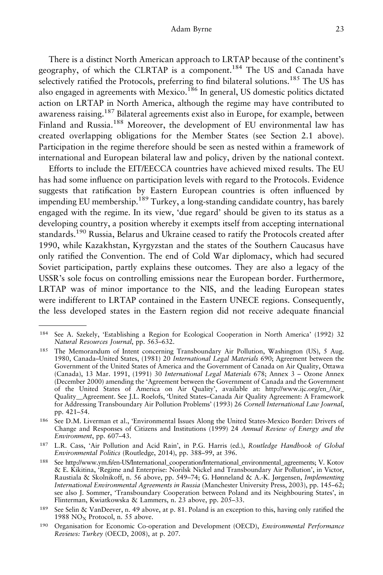There is a distinct North American approach to LRTAP because of the continent's geography, of which the CLRTAP is a component.<sup>184</sup> The US and Canada have selectively ratified the Protocols, preferring to find bilateral solutions.<sup>185</sup> The US has also engaged in agreements with Mexico.<sup>186</sup> In general, US domestic politics dictated action on LRTAP in North America, although the regime may have contributed to awareness raising.<sup>187</sup> Bilateral agreements exist also in Europe, for example, between Finland and Russia.<sup>188</sup> Moreover, the development of EU environmental law has created overlapping obligations for the Member States (see Section 2.1 above). Participation in the regime therefore should be seen as nested within a framework of international and European bilateral law and policy, driven by the national context.

Efforts to include the EIT/EECCA countries have achieved mixed results. The EU has had some influence on participation levels with regard to the Protocols. Evidence suggests that ratification by Eastern European countries is often influenced by impending EU membership.<sup>189</sup> Turkey, a long-standing candidate country, has barely engaged with the regime. In its view, 'due regard' should be given to its status as a developing country, a position whereby it exempts itself from accepting international standards.<sup>190</sup> Russia, Belarus and Ukraine ceased to ratify the Protocols created after 1990, while Kazakhstan, Kyrgyzstan and the states of the Southern Caucasus have only ratified the Convention. The end of Cold War diplomacy, which had secured Soviet participation, partly explains these outcomes. They are also a legacy of the USSR's sole focus on controlling emissions near the European border. Furthermore, LRTAP was of minor importance to the NIS, and the leading European states were indifferent to LRTAP contained in the Eastern UNECE regions. Consequently, the less developed states in the Eastern region did not receive adequate financial

<sup>184</sup> See A. Szekely, 'Establishing a Region for Ecological Cooperation in North America' (1992) 32 Natural Resources Journal, pp. 563–632.

<sup>185</sup> The Memorandum of Intent concerning Transboundary Air Pollution, Washington (US), 5 Aug. 1980, Canada–United States, (1981) 20 International Legal Materials 690; Agreement between the Government of the United States of America and the Government of Canada on Air Quality, Ottawa (Canada), 13 Mar. 1991, (1991) 30 International Legal Materials 678; Annex 3 – Ozone Annex (December 2000) amending the 'Agreement between the Government of Canada and the Government of the United States of America on Air Quality', available at: http://www.ijc.org/en\_/Air\_ Quality\_\_Agreement. See J.L. Roelofs, 'United States–Canada Air Quality Agreement: A Framework for Addressing Transboundary Air Pollution Problems' (1993) 26 Cornell International Law Journal, pp. 421–54.

<sup>186</sup> See D.M. Liverman et al., 'Environmental Issues Along the United States-Mexico Border: Drivers of Change and Responses of Citizens and Institutions (1999) 24 Annual Review of Energy and the Environment, pp. 607–43.

<sup>187</sup> L.R. Cass, 'Air Pollution and Acid Rain', in P.G. Harris (ed.), Routledge Handbook of Global Environmental Politics (Routledge, 2014), pp. 388–99, at 396.

<sup>188</sup> See http://www.ym.fi/en-US/International\_cooperation/International\_environmental\_agreements; V. Kotov & E. Kikitina, 'Regime and Enterprise: Norilsk Nickel and Transboundary Air Pollution', in Victor, Raustiala & Skolnikoff, n. 56 above, pp. 549–74; G. Hønneland & A.-K. Jørgensen, Implementing International Environmental Agreements in Russia (Manchester University Press, 2003), pp. 145–62; see also J. Sommer, 'Transboundary Cooperation between Poland and its Neighbouring States', in Flinterman, Kwiatkowska & Lammers, n. 23 above, pp. 205–33.

<sup>189</sup> See Selin & VanDeever, n. 49 above, at p. 81. Poland is an exception to this, having only ratified the 1988  $NO<sub>x</sub>$  Protocol, n. 55 above.

<sup>190</sup> Organisation for Economic Co-operation and Development (OECD), Environmental Performance Reviews: Turkey (OECD, 2008), at p. 207.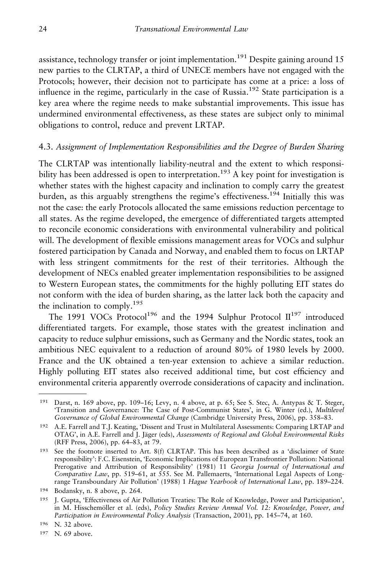assistance, technology transfer or joint implementation.<sup>191</sup> Despite gaining around 15 new parties to the CLRTAP, a third of UNECE members have not engaged with the Protocols; however, their decision not to participate has come at a price: a loss of influence in the regime, particularly in the case of Russia.<sup>192</sup> State participation is a key area where the regime needs to make substantial improvements. This issue has undermined environmental effectiveness, as these states are subject only to minimal obligations to control, reduce and prevent LRTAP.

## 4.3. Assignment of Implementation Responsibilities and the Degree of Burden Sharing

The CLRTAP was intentionally liability-neutral and the extent to which responsibility has been addressed is open to interpretation.<sup>193</sup> A key point for investigation is whether states with the highest capacity and inclination to comply carry the greatest burden, as this arguably strengthens the regime's effectiveness.<sup>194</sup> Initially this was not the case: the early Protocols allocated the same emissions reduction percentage to all states. As the regime developed, the emergence of differentiated targets attempted to reconcile economic considerations with environmental vulnerability and political will. The development of flexible emissions management areas for VOCs and sulphur fostered participation by Canada and Norway, and enabled them to focus on LRTAP with less stringent commitments for the rest of their territories. Although the development of NECs enabled greater implementation responsibilities to be assigned to Western European states, the commitments for the highly polluting EIT states do not conform with the idea of burden sharing, as the latter lack both the capacity and the inclination to comply.195

The 1991 VOCs Protocol<sup>196</sup> and the 1994 Sulphur Protocol  $II^{197}$  introduced differentiated targets. For example, those states with the greatest inclination and capacity to reduce sulphur emissions, such as Germany and the Nordic states, took an ambitious NEC equivalent to a reduction of around 80% of 1980 levels by 2000. France and the UK obtained a ten-year extension to achieve a similar reduction. Highly polluting EIT states also received additional time, but cost efficiency and environmental criteria apparently overrode considerations of capacity and inclination.

 $191$  Darst, n. 169 above, pp. 109–16; Levy, n. 4 above, at p. 65; See S. Stec, A. Antypas & T. Steger, 'Transition and Governance: The Case of Post-Communist States', in G. Winter (ed.), Multilevel Governance of Global Environmental Change (Cambridge University Press, 2006), pp. 358–83.

<sup>192</sup> A.E. Farrell and T.J. Keating, 'Dissent and Trust in Multilateral Assessments: Comparing LRTAP and OTAG', in A.E. Farrell and J. Jäger (eds), Assessments of Regional and Global Environmental Risks (RFF Press, 2006), pp. 64–83, at 79.

<sup>193</sup> See the footnote inserted to Art. 8(f) CLRTAP. This has been described as a 'disclaimer of State responsibility': F.C. Eisenstein, 'Economic Implications of European Transfrontier Pollution: National Prerogative and Attribution of Responsibility' (1981) 11 Georgia Journal of International and Comparative Law, pp. 519–61, at 555. See M. Pallemaerts, 'International Legal Aspects of Longrange Transboundary Air Pollution' (1988) 1 Hague Yearbook of International Law, pp. 189–224.

<sup>194</sup> Bodansky, n. 8 above, p. 264.

<sup>195</sup> J. Gupta, 'Effectiveness of Air Pollution Treaties: The Role of Knowledge, Power and Participation', in M. Hisschemöller et al. (eds), Policy Studies Review Annual Vol. 12: Knowledge, Power, and Participation in Environmental Policy Analysis (Transaction, 2001), pp. 145–74, at 160.

<sup>196</sup> N. 32 above.

<sup>197</sup> N. 69 above.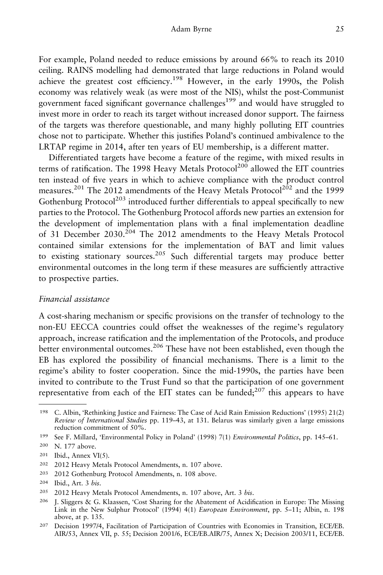For example, Poland needed to reduce emissions by around 66% to reach its 2010 ceiling. RAINS modelling had demonstrated that large reductions in Poland would achieve the greatest cost efficiency.198 However, in the early 1990s, the Polish economy was relatively weak (as were most of the NIS), whilst the post-Communist government faced significant governance challenges<sup>199</sup> and would have struggled to invest more in order to reach its target without increased donor support. The fairness of the targets was therefore questionable, and many highly polluting EIT countries chose not to participate. Whether this justifies Poland's continued ambivalence to the LRTAP regime in 2014, after ten years of EU membership, is a different matter.

Differentiated targets have become a feature of the regime, with mixed results in terms of ratification. The 1998 Heavy Metals  $Protocol<sup>200</sup>$  allowed the EIT countries ten instead of five years in which to achieve compliance with the product control measures.<sup>201</sup> The 2012 amendments of the Heavy Metals Protocol<sup>202</sup> and the 1999 Gothenburg Protocol<sup>203</sup> introduced further differentials to appeal specifically to new parties to the Protocol. The Gothenburg Protocol affords new parties an extension for the development of implementation plans with a final implementation deadline of 31 December 2030.<sup>204</sup> The 2012 amendments to the Heavy Metals Protocol contained similar extensions for the implementation of BAT and limit values to existing stationary sources.<sup>205</sup> Such differential targets may produce better environmental outcomes in the long term if these measures are sufficiently attractive to prospective parties.

# Financial assistance

A cost-sharing mechanism or specific provisions on the transfer of technology to the non-EU EECCA countries could offset the weaknesses of the regime's regulatory approach, increase ratification and the implementation of the Protocols, and produce better environmental outcomes.<sup>206</sup> These have not been established, even though the EB has explored the possibility of financial mechanisms. There is a limit to the regime's ability to foster cooperation. Since the mid-1990s, the parties have been invited to contribute to the Trust Fund so that the participation of one government representative from each of the EIT states can be funded;<sup>207</sup> this appears to have

203 2012 Gothenburg Protocol Amendments, n. 108 above.

<sup>198</sup> C. Albin, 'Rethinking Justice and Fairness: The Case of Acid Rain Emission Reductions' (1995) 21(2) Review of International Studies pp. 119–43, at 131. Belarus was similarly given a large emissions reduction commitment of 50%.

<sup>199</sup> See F. Millard, 'Environmental Policy in Poland' (1998) 7(1) Environmental Politics, pp. 145–61.

<sup>200</sup> N. 177 above.

<sup>201</sup> Ibid., Annex VI(5).

<sup>202</sup> 2012 Heavy Metals Protocol Amendments, n. 107 above.

<sup>204</sup> Ibid., Art. 3 bis.

<sup>205</sup> 2012 Heavy Metals Protocol Amendments, n. 107 above, Art. 3 bis.

<sup>206</sup> J. Sliggers & G. Klaassen, 'Cost Sharing for the Abatement of Acidification in Europe: The Missing Link in the New Sulphur Protocol' (1994) 4(1) European Environment, pp. 5–11; Albin, n. 198 above, at p. 135.

<sup>207</sup> Decision 1997/4, Facilitation of Participation of Countries with Economies in Transition, ECE/EB. AIR/53, Annex VII, p. 55; Decision 2001/6, ECE/EB.AIR/75, Annex X; Decision 2003/11, ECE/EB.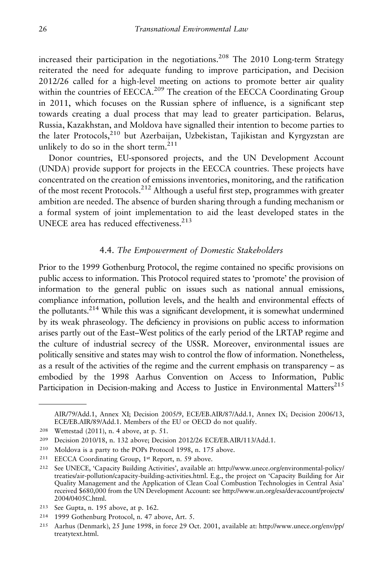increased their participation in the negotiations.<sup>208</sup> The 2010 Long-term Strategy reiterated the need for adequate funding to improve participation, and Decision 2012/26 called for a high-level meeting on actions to promote better air quality within the countries of EECCA.<sup>209</sup> The creation of the EECCA Coordinating Group in 2011, which focuses on the Russian sphere of influence, is a significant step towards creating a dual process that may lead to greater participation. Belarus, Russia, Kazakhstan, and Moldova have signalled their intention to become parties to the later Protocols,<sup>210</sup> but Azerbaijan, Uzbekistan, Tajikistan and Kyrgyzstan are unlikely to do so in the short term. $211$ 

Donor countries, EU-sponsored projects, and the UN Development Account (UNDA) provide support for projects in the EECCA countries. These projects have concentrated on the creation of emissions inventories, monitoring, and the ratification of the most recent Protocols.<sup>212</sup> Although a useful first step, programmes with greater ambition are needed. The absence of burden sharing through a funding mechanism or a formal system of joint implementation to aid the least developed states in the UNECE area has reduced effectiveness.<sup>213</sup>

# 4.4. The Empowerment of Domestic Stakeholders

Prior to the 1999 Gothenburg Protocol, the regime contained no specific provisions on public access to information. This Protocol required states to 'promote' the provision of information to the general public on issues such as national annual emissions, compliance information, pollution levels, and the health and environmental effects of the pollutants.214 While this was a significant development, it is somewhat undermined by its weak phraseology. The deficiency in provisions on public access to information arises partly out of the East–West politics of the early period of the LRTAP regime and the culture of industrial secrecy of the USSR. Moreover, environmental issues are politically sensitive and states may wish to control the flow of information. Nonetheless, as a result of the activities of the regime and the current emphasis on transparency – as embodied by the 1998 Aarhus Convention on Access to Information, Public Participation in Decision-making and Access to Justice in Environmental Matters<sup>215</sup>

AIR/79/Add.1, Annex XI; Decision 2005/9, ECE/EB.AIR/87/Add.1, Annex IX; Decision 2006/13, ECE/EB.AIR/89/Add.1. Members of the EU or OECD do not qualify.

<sup>208</sup> Wettestad (2011), n. 4 above, at p. 51.

<sup>209</sup> Decision 2010/18, n. 132 above; Decision 2012/26 ECE/EB.AIR/113/Add.1.

<sup>210</sup> Moldova is a party to the POPs Protocol 1998, n. 175 above.

<sup>211</sup> EECCA Coordinating Group, 1st Report, n. 59 above.

<sup>212</sup> See UNECE, 'Capacity Building Activities', available at: http://www.unece.org/environmental-policy/ treaties/air-pollution/capacity-building-activities.html. E.g., the project on 'Capacity Building for Air Quality Management and the Application of Clean Coal Combustion Technologies in Central Asia' received \$680,000 from the UN Development Account: see http://www.un.org/esa/devaccount/projects/ 2004/0405C.html.

<sup>213</sup> See Gupta, n. 195 above, at p. 162.

<sup>214</sup> 1999 Gothenburg Protocol, n. 47 above, Art. 5.

<sup>215</sup> Aarhus (Denmark), 25 June 1998, in force 29 Oct. 2001, available at: http://www.unece.org/env/pp/ treatytext.html.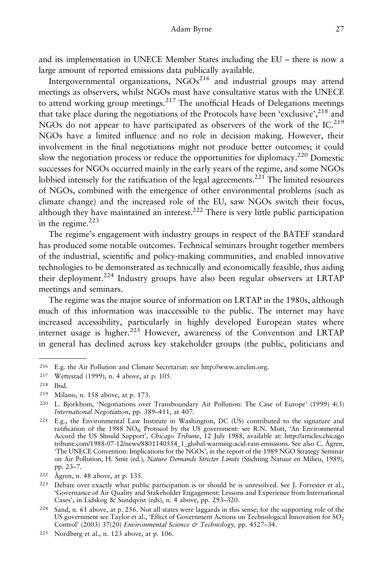and its implementation in UNECE Member States including the EU – there is now a large amount of reported emissions data publically available.

Intergovernmental organizations,  $\overline{\text{NGOs}}^{216}$  and industrial groups may attend meetings as observers, whilst NGOs must have consultative status with the UNECE to attend working group meetings.<sup>217</sup> The unofficial Heads of Delegations meetings that take place during the negotiations of the Protocols have been 'exclusive',<sup>218</sup> and NGOs do not appear to have participated as observers of the work of the IC.<sup>219</sup> NGOs have a limited influence and no role in decision making. However, their involvement in the final negotiations might not produce better outcomes; it could slow the negotiation process or reduce the opportunities for diplomacy.<sup>220</sup> Domestic successes for NGOs occurred mainly in the early years of the regime, and some NGOs lobbied intensely for the ratification of the legal agreements.<sup>221</sup> The limited resources of NGOs, combined with the emergence of other environmental problems (such as climate change) and the increased role of the EU, saw NGOs switch their focus, although they have maintained an interest. $222$  There is very little public participation in the regime. $223$ 

The regime's engagement with industry groups in respect of the BATEF standard has produced some notable outcomes. Technical seminars brought together members of the industrial, scientific and policy-making communities, and enabled innovative technologies to be demonstrated as technically and economically feasible, thus aiding their deployment.224 Industry groups have also been regular observers at LRTAP meetings and seminars.

The regime was the major source of information on LRTAP in the 1980s, although much of this information was inaccessible to the public. The internet may have increased accessibility, particularly in highly developed European states where internet usage is higher.<sup>225</sup> However, awareness of the Convention and LRTAP in general has declined across key stakeholder groups (the public, politicians and

<sup>216</sup> E.g. the Air Pollution and Climate Secretariat: see http://www.airclim.org.

<sup>217</sup> Wettestad (1999), n. 4 above, at p. 105.

<sup>218</sup> Ibid.

<sup>219</sup> Milano, n. 158 above, at p. 173.

<sup>220</sup> L. Björkbom, 'Negotiations over Transboundary Air Pollution: The Case of Europe' (1999) 4(3) International Negotiation, pp. 389–411, at 407.

<sup>221</sup> E.g., the Environmental Law Institute in Washington, DC (US) contributed to the signature and ratification of the 1988  $NO<sub>X</sub>$  Protocol by the US government: see R.N. Mott, 'An Environmental Accord the US Should Support', Chicago Tribune, 12 July 1988, available at: http://articles.chicago tribune.com/1988-07-12/news/8801140554\_1\_global-warming-acid-rain-emissions. See also C. Ågren, 'The UNECE Convention: Implications for the NGOs', in the report of the 1989 NGO Strategy Seminar on Air Pollution, H. Smit (ed.), Nature Demands Stricter Limits (Stichting Natuur en Milieu, 1989), pp. 23–7.

<sup>222</sup> Ågren, n. 48 above, at p. 135.

<sup>223</sup> Debate over exactly what public participation is or should be is unresolved. See J. Forrester et al., 'Governance of Air Quality and Stakeholder Engagement: Lessons and Experience from International Cases', in Lidskog & Sundqvist (eds), n. 4 above, pp. 293–320.

<sup>224</sup> Sand, n. 61 above, at p. 256. Not all states were laggards in this sense; for the supporting role of the US government see Taylor et al., 'Effect of Government Actions on Technological Innovation for SO<sub>2</sub> Control' (2003) 37(20) Environmental Science & Technology, pp. 4527–34.

<sup>225</sup> Nordberg et al., n. 123 above, at p. 106.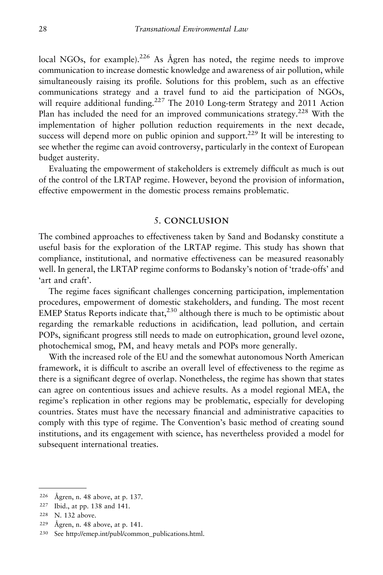local NGOs, for example).<sup>226</sup> As Ågren has noted, the regime needs to improve communication to increase domestic knowledge and awareness of air pollution, while simultaneously raising its profile. Solutions for this problem, such as an effective communications strategy and a travel fund to aid the participation of NGOs, will require additional funding.<sup>227</sup> The 2010 Long-term Strategy and 2011 Action Plan has included the need for an improved communications strategy.<sup>228</sup> With the implementation of higher pollution reduction requirements in the next decade, success will depend more on public opinion and support.<sup>229</sup> It will be interesting to see whether the regime can avoid controversy, particularly in the context of European budget austerity.

Evaluating the empowerment of stakeholders is extremely difficult as much is out of the control of the LRTAP regime. However, beyond the provision of information, effective empowerment in the domestic process remains problematic.

# 5. conclusion

The combined approaches to effectiveness taken by Sand and Bodansky constitute a useful basis for the exploration of the LRTAP regime. This study has shown that compliance, institutional, and normative effectiveness can be measured reasonably well. In general, the LRTAP regime conforms to Bodansky's notion of 'trade-offs' and 'art and craft'.

The regime faces significant challenges concerning participation, implementation procedures, empowerment of domestic stakeholders, and funding. The most recent EMEP Status Reports indicate that, $2^{30}$  although there is much to be optimistic about regarding the remarkable reductions in acidification, lead pollution, and certain POPs, significant progress still needs to made on eutrophication, ground level ozone, photochemical smog, PM, and heavy metals and POPs more generally.

With the increased role of the EU and the somewhat autonomous North American framework, it is difficult to ascribe an overall level of effectiveness to the regime as there is a significant degree of overlap. Nonetheless, the regime has shown that states can agree on contentious issues and achieve results. As a model regional MEA, the regime's replication in other regions may be problematic, especially for developing countries. States must have the necessary financial and administrative capacities to comply with this type of regime. The Convention's basic method of creating sound institutions, and its engagement with science, has nevertheless provided a model for subsequent international treaties.

<sup>226</sup> Ågren, n. 48 above, at p. 137.

<sup>227</sup> Ibid., at pp. 138 and 141.

<sup>228</sup> N. 132 above.

<sup>229</sup> Ågren, n. 48 above, at p. 141.

<sup>230</sup> See http://emep.int/publ/common\_publications.html.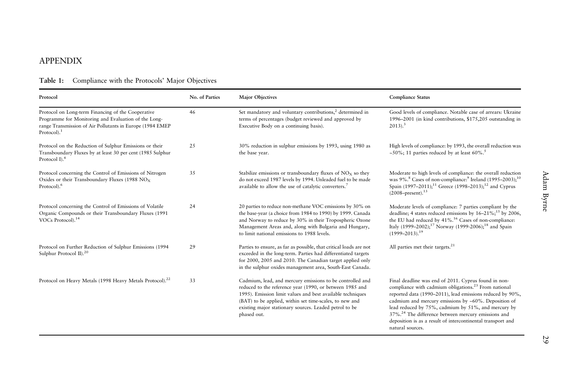## APPENDIX

| Protocol                                                                                                                                                                                         | No. of Parties | <b>Major Objectives</b>                                                                                                                                                                                                                                                                                                 | <b>Compliance Status</b>                                                                                                                                                                                                                                                                                                                                                                                                                                       |
|--------------------------------------------------------------------------------------------------------------------------------------------------------------------------------------------------|----------------|-------------------------------------------------------------------------------------------------------------------------------------------------------------------------------------------------------------------------------------------------------------------------------------------------------------------------|----------------------------------------------------------------------------------------------------------------------------------------------------------------------------------------------------------------------------------------------------------------------------------------------------------------------------------------------------------------------------------------------------------------------------------------------------------------|
| Protocol on Long-term Financing of the Cooperative<br>Programme for Monitoring and Evaluation of the Long-<br>range Transmission of Air Pollutants in Europe (1984 EMEP<br>Protocol <sup>1</sup> | 46             | Set mandatory and voluntary contributions, <sup>2</sup> determined in<br>terms of percentages (budget reviewed and approved by<br>Executive Body on a continuing basis).                                                                                                                                                | Good levels of compliance. Notable case of arrears: Ukraine<br>1996-2001 (in kind contributions, \$175,205 outstanding in<br>$2013$ ). <sup>3</sup>                                                                                                                                                                                                                                                                                                            |
| Protocol on the Reduction of Sulphur Emissions or their<br>Transboundary Fluxes by at least 30 per cent (1985 Sulphur<br>Protocol $I$ ). <sup>4</sup>                                            | 25             | 30% reduction in sulphur emissions by 1993, using 1980 as<br>the base year.                                                                                                                                                                                                                                             | High levels of compliance: by 1993, the overall reduction was<br>~50%; 11 parties reduced by at least $60\%$ . <sup>5</sup>                                                                                                                                                                                                                                                                                                                                    |
| Protocol concerning the Control of Emissions of Nitrogen<br>Oxides or their Transboundary Fluxes (1988 NO <sub>X</sub><br>Protocol). <sup>6</sup>                                                | 35             | Stabilize emissions or transboundary fluxes of $NOx$ so they<br>do not exceed 1987 levels by 1994. Unleaded fuel to be made<br>available to allow the use of catalytic converters. <sup>7</sup>                                                                                                                         | Moderate to high levels of compliance: the overall reduction<br>was 9%. <sup>8</sup> Cases of non-compliance: <sup>9</sup> Ireland (1995-2003); <sup>10</sup><br>Spain (1997-2011); <sup>11</sup> Greece (1998-2013); <sup>12</sup> and Cyprus<br>$(2008–present).$ <sup>13</sup>                                                                                                                                                                              |
| Protocol concerning the Control of Emissions of Volatile<br>Organic Compounds or their Transboundary Fluxes (1991<br>VOCs Protocol). <sup>14</sup>                                               | 24             | 20 parties to reduce non-methane VOC emissions by 30% on<br>the base-year (a choice from 1984 to 1990) by 1999. Canada<br>and Norway to reduce by 30% in their Tropospheric Ozone<br>Management Areas and, along with Bulgaria and Hungary,<br>to limit national emissions to 1988 levels.                              | Moderate levels of compliance: 7 parties compliant by the<br>deadline; 4 states reduced emissions by $16-21\%$ ; <sup>15</sup> by 2006,<br>the EU had reduced by 41%. <sup>16</sup> Cases of non-compliance:<br>Italy (1999–2002); <sup>17</sup> Norway (1999-2006); <sup>18</sup> and Spain<br>$(1999 - 2013)^{19}$                                                                                                                                           |
| Protocol on Further Reduction of Sulphur Emissions (1994<br>Sulphur Protocol II). <sup>20</sup>                                                                                                  | 29             | Parties to ensure, as far as possible, that critical loads are not<br>exceeded in the long-term. Parties had differentiated targets<br>for 2000, 2005 and 2010. The Canadian target applied only<br>in the sulphur oxides management area, South-East Canada.                                                           | All parties met their targets. <sup>21</sup>                                                                                                                                                                                                                                                                                                                                                                                                                   |
| Protocol on Heavy Metals (1998 Heavy Metals Protocol). <sup>22</sup>                                                                                                                             | 33             | Cadmium, lead, and mercury emissions to be controlled and<br>reduced to the reference year (1990, or between 1985 and<br>1995). Emission limit values and best available techniques<br>(BAT) to be applied, within set time-scales, to new and<br>existing major stationary sources. Leaded petrol to be<br>phased out. | Final deadline was end of 2011. Cyprus found in non-<br>compliance with cadmium obligations. <sup>23</sup> From national<br>reported data (1990-2011), lead emissions reduced by 90%,<br>cadmium and mercury emissions by ~60%. Deposition of<br>lead reduced by 75%, cadmium by 51%, and mercury by<br>$37\%$ . <sup>24</sup> The difference between mercury emissions and<br>deposition is as a result of intercontinental transport and<br>natural sources. |

#### Table 1: Compliance with the Protocols' Major Objectives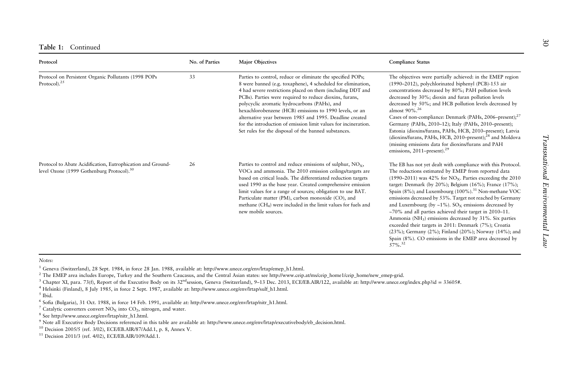Table 1: Continued

| Protocol                                                                                                             | No. of Parties | <b>Major Objectives</b>                                                                                                                                                                                                                                                                                                                                                                                                                                                                                                                                 | <b>Compliance Status</b>                                                                                                                                                                                                                                                                                                                                                                                                                                                                                                                                                                                                                                                                                                                                                                          |
|----------------------------------------------------------------------------------------------------------------------|----------------|---------------------------------------------------------------------------------------------------------------------------------------------------------------------------------------------------------------------------------------------------------------------------------------------------------------------------------------------------------------------------------------------------------------------------------------------------------------------------------------------------------------------------------------------------------|---------------------------------------------------------------------------------------------------------------------------------------------------------------------------------------------------------------------------------------------------------------------------------------------------------------------------------------------------------------------------------------------------------------------------------------------------------------------------------------------------------------------------------------------------------------------------------------------------------------------------------------------------------------------------------------------------------------------------------------------------------------------------------------------------|
| Protocol on Persistent Organic Pollutants (1998 POPs<br>Protocol). $25$                                              | 33             | Parties to control, reduce or eliminate the specified POPs;<br>8 were banned (e.g. toxaphene), 4 scheduled for elimination,<br>4 had severe restrictions placed on them (including DDT and<br>PCBs). Parties were required to reduce dioxins, furans,<br>polycyclic aromatic hydrocarbons (PAHs), and<br>hexachlorobenzene (HCB) emissions to 1990 levels, or an<br>alternative year between 1985 and 1995. Deadline created<br>for the introduction of emission limit values for incineration.<br>Set rules for the disposal of the banned substances. | The objectives were partially achieved: in the EMEP region<br>(1990-2012), polychlorinated biphenyl (PCB)-153 air<br>concentrations decreased by 80%; PAH pollution levels<br>decreased by 30%; dioxin and furan pollution levels<br>decreased by 50%; and HCB pollution levels decreased by<br>almost 90%. <sup>26</sup><br>Cases of non-compliance: Denmark (PAHs, 2006–present); $27$<br>Germany (PAHs, 2010-12); Italy (PAHs, 2010-present);<br>Estonia (dioxins/furans, PAHs, HCB, 2010-present); Latvia<br>(dioxins/furans, PAHs, HCB, 2010–present); <sup>28</sup> and Moldova<br>(missing emissions data for dioxins/furans and PAH<br>emissions, 2011–present). <sup>29</sup>                                                                                                            |
| Protocol to Abate Acidification, Eutrophication and Ground-<br>level Ozone (1999 Gothenburg Protocol). <sup>30</sup> | 26             | Parties to control and reduce emissions of sulphur, $NOx$ ,<br>VOCs and ammonia. The 2010 emission ceilings/targets are<br>based on critical loads. The differentiated reduction targets<br>used 1990 as the base year. Created comprehensive emission<br>limit values for a range of sources; obligation to use BAT.<br>Particulate matter (PM), carbon monoxide (CO), and<br>methane (CH <sub>4</sub> ) were included in the limit values for fuels and<br>new mobile sources.                                                                        | The EB has not yet dealt with compliance with this Protocol.<br>The reductions estimated by EMEP from reported data<br>(1990–2011) was 42% for $NOX$ . Parties exceeding the 2010<br>target: Denmark (by 20%); Belgium $(16\%)$ ; France $(17\%)$ ;<br>Spain (8%); and Luxembourg (100%). <sup>31</sup> Non-methane VOC<br>emissions decreased by 53%. Target not reached by Germany<br>and Luxembourg (by $\sim$ 1%). SO <sub>X</sub> emissions decreased by<br>$\approx$ 70% and all parties achieved their target in 2010–11.<br>Ammonia ( $NH3$ ) emissions decreased by 31%. Six parties<br>exceeded their targets in 2011: Denmark (7%); Croatia<br>(23%); Germany (2%); Finland (20%); Norway (14%); and<br>Spain (8%). CO emissions in the EMEP area decreased by<br>$57\%$ <sup>32</sup> |

Notes:

1 Geneva (Switzerland), 28 Sept. 1984, in force 28 Jan. 1988, available at: http://www.unece.org/env/lrtap/emep\_h1.html.

<sup>2</sup> The EMEP area includes Europe, Turkey and the Southern Caucasus, and the Central Asian states: see http://www.ceip.at/ms/ceip\_home1/ceip\_home/new\_emep-grid.

<sup>3</sup> Chapter XI, para. 73(f), Report of the Executive Body on its  $32<sup>nd</sup>$ session, Geneva (Switzerland), 9–13 Dec. 2013, ECE/EB.AIR/122, available at: http://www.unece.org/index.php?id = 33605#.

4 Helsinki (Finland), 8 July 1985, in force 2 Sept. 1987, available at: http://www.unece.org/env/lrtap/sulf\_h1.html.

 $<sup>5</sup>$  Ibid.</sup>

6 Sofi<sup>a</sup> (Bulgaria), 31 Oct. 1988, in force 14 Feb. 1991, available at: http://www.unece.org/env/lrtap/nitr\_h1.html.

<sup>7</sup> Catalytic converters convert  $NO<sub>X</sub>$  into  $CO<sub>2</sub>$ , nitrogen, and water.

8 See http://www.unece.org/env/lrtap/nitr\_h1.html.

<sup>9</sup> Note all Executive Body Decisions referenced in this table are available at: http://www.unece.org/env/lrtap/executivebody/eb\_decision.html.

 $10$  Decision 2005/5 (ref. 3/02), ECE/EB.AIR/87/Add.1, p. 8, Annex V.

11 Decision 2011/3 (ref. 4/02), ECE/EB.AIR/109/Add.1.